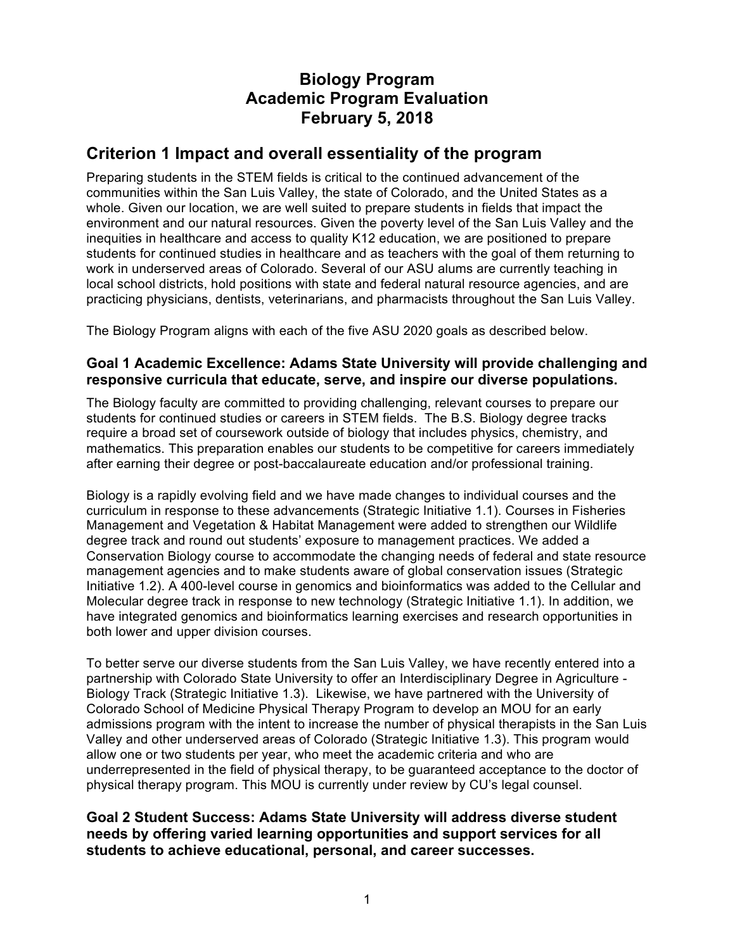# **Biology Program Academic Program Evaluation February 5, 2018**

# **Criterion 1 Impact and overall essentiality of the program**

Preparing students in the STEM fields is critical to the continued advancement of the communities within the San Luis Valley, the state of Colorado, and the United States as a whole. Given our location, we are well suited to prepare students in fields that impact the environment and our natural resources. Given the poverty level of the San Luis Valley and the inequities in healthcare and access to quality K12 education, we are positioned to prepare students for continued studies in healthcare and as teachers with the goal of them returning to work in underserved areas of Colorado. Several of our ASU alums are currently teaching in local school districts, hold positions with state and federal natural resource agencies, and are practicing physicians, dentists, veterinarians, and pharmacists throughout the San Luis Valley.

The Biology Program aligns with each of the five ASU 2020 goals as described below.

### **Goal 1 Academic Excellence: Adams State University will provide challenging and responsive curricula that educate, serve, and inspire our diverse populations.**

The Biology faculty are committed to providing challenging, relevant courses to prepare our students for continued studies or careers in STEM fields. The B.S. Biology degree tracks require a broad set of coursework outside of biology that includes physics, chemistry, and mathematics. This preparation enables our students to be competitive for careers immediately after earning their degree or post-baccalaureate education and/or professional training.

Biology is a rapidly evolving field and we have made changes to individual courses and the curriculum in response to these advancements (Strategic Initiative 1.1). Courses in Fisheries Management and Vegetation & Habitat Management were added to strengthen our Wildlife degree track and round out students' exposure to management practices. We added a Conservation Biology course to accommodate the changing needs of federal and state resource management agencies and to make students aware of global conservation issues (Strategic Initiative 1.2). A 400-level course in genomics and bioinformatics was added to the Cellular and Molecular degree track in response to new technology (Strategic Initiative 1.1). In addition, we have integrated genomics and bioinformatics learning exercises and research opportunities in both lower and upper division courses.

To better serve our diverse students from the San Luis Valley, we have recently entered into a partnership with Colorado State University to offer an Interdisciplinary Degree in Agriculture - Biology Track (Strategic Initiative 1.3). Likewise, we have partnered with the University of Colorado School of Medicine Physical Therapy Program to develop an MOU for an early admissions program with the intent to increase the number of physical therapists in the San Luis Valley and other underserved areas of Colorado (Strategic Initiative 1.3). This program would allow one or two students per year, who meet the academic criteria and who are underrepresented in the field of physical therapy, to be guaranteed acceptance to the doctor of physical therapy program. This MOU is currently under review by CU's legal counsel.

**Goal 2 Student Success: Adams State University will address diverse student needs by offering varied learning opportunities and support services for all students to achieve educational, personal, and career successes.**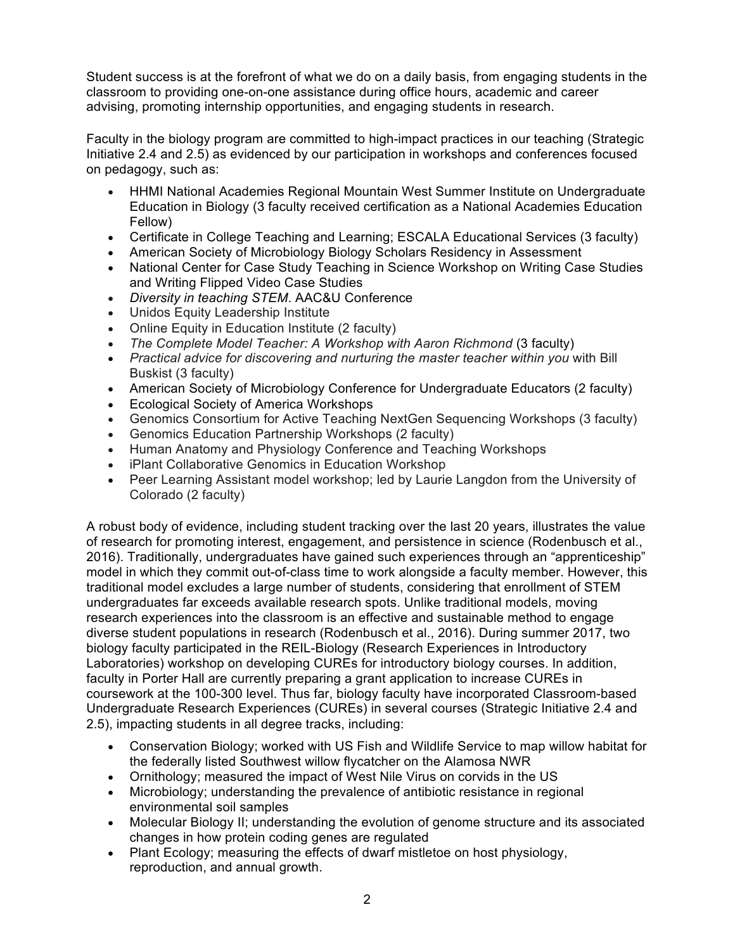Student success is at the forefront of what we do on a daily basis, from engaging students in the classroom to providing one-on-one assistance during office hours, academic and career advising, promoting internship opportunities, and engaging students in research.

Faculty in the biology program are committed to high-impact practices in our teaching (Strategic Initiative 2.4 and 2.5) as evidenced by our participation in workshops and conferences focused on pedagogy, such as:

- HHMI National Academies Regional Mountain West Summer Institute on Undergraduate Education in Biology (3 faculty received certification as a National Academies Education Fellow)
- Certificate in College Teaching and Learning; ESCALA Educational Services (3 faculty)
- American Society of Microbiology Biology Scholars Residency in Assessment
- National Center for Case Study Teaching in Science Workshop on Writing Case Studies and Writing Flipped Video Case Studies
- *Diversity in teaching STEM*. AAC&U Conference
- Unidos Equity Leadership Institute
- Online Equity in Education Institute (2 faculty)
- *The Complete Model Teacher: A Workshop with Aaron Richmond* (3 faculty)
- *Practical advice for discovering and nurturing the master teacher within you* with Bill Buskist (3 faculty)
- American Society of Microbiology Conference for Undergraduate Educators (2 faculty)
- Ecological Society of America Workshops
- Genomics Consortium for Active Teaching NextGen Sequencing Workshops (3 faculty)
- Genomics Education Partnership Workshops (2 faculty)
- Human Anatomy and Physiology Conference and Teaching Workshops
- iPlant Collaborative Genomics in Education Workshop
- Peer Learning Assistant model workshop; led by Laurie Langdon from the University of Colorado (2 faculty)

A robust body of evidence, including student tracking over the last 20 years, illustrates the value of research for promoting interest, engagement, and persistence in science (Rodenbusch et al., 2016). Traditionally, undergraduates have gained such experiences through an "apprenticeship" model in which they commit out-of-class time to work alongside a faculty member. However, this traditional model excludes a large number of students, considering that enrollment of STEM undergraduates far exceeds available research spots. Unlike traditional models, moving research experiences into the classroom is an effective and sustainable method to engage diverse student populations in research (Rodenbusch et al., 2016). During summer 2017, two biology faculty participated in the REIL-Biology (Research Experiences in Introductory Laboratories) workshop on developing CUREs for introductory biology courses. In addition, faculty in Porter Hall are currently preparing a grant application to increase CUREs in coursework at the 100-300 level. Thus far, biology faculty have incorporated Classroom-based Undergraduate Research Experiences (CUREs) in several courses (Strategic Initiative 2.4 and 2.5), impacting students in all degree tracks, including:

- Conservation Biology; worked with US Fish and Wildlife Service to map willow habitat for the federally listed Southwest willow flycatcher on the Alamosa NWR
- Ornithology; measured the impact of West Nile Virus on corvids in the US
- Microbiology; understanding the prevalence of antibiotic resistance in regional environmental soil samples
- Molecular Biology II; understanding the evolution of genome structure and its associated changes in how protein coding genes are regulated
- Plant Ecology; measuring the effects of dwarf mistletoe on host physiology, reproduction, and annual growth.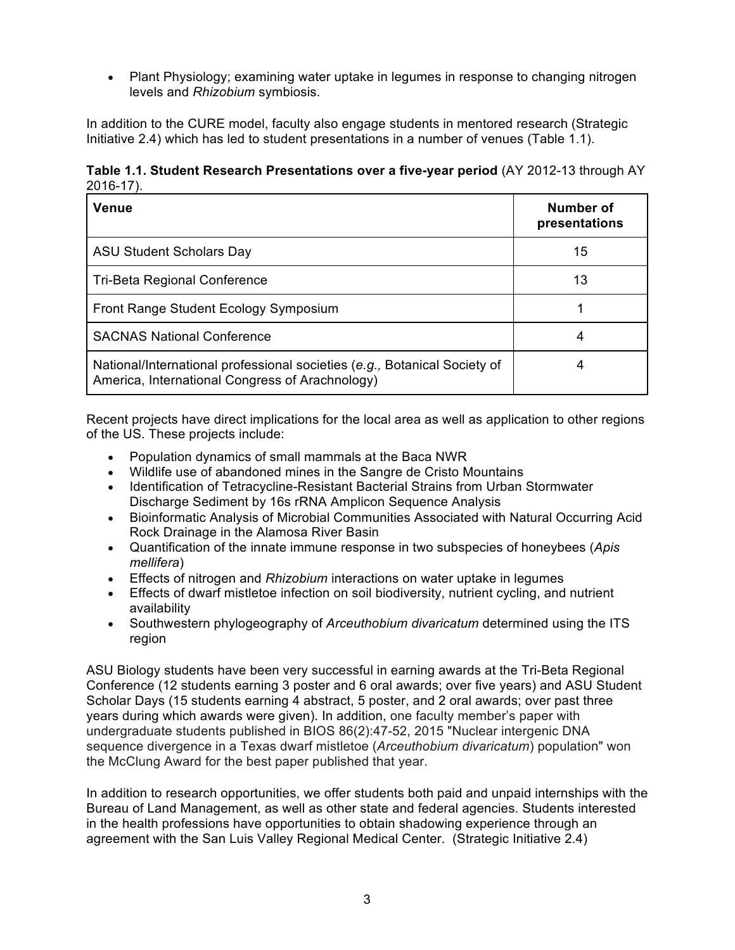• Plant Physiology; examining water uptake in legumes in response to changing nitrogen levels and *Rhizobium* symbiosis.

In addition to the CURE model, faculty also engage students in mentored research (Strategic Initiative 2.4) which has led to student presentations in a number of venues (Table 1.1).

**Table 1.1. Student Research Presentations over a five-year period** (AY 2012-13 through AY 2016-17).

| Venue                                                                                                                        | Number of<br>presentations |
|------------------------------------------------------------------------------------------------------------------------------|----------------------------|
| <b>ASU Student Scholars Day</b>                                                                                              | 15                         |
| <b>Tri-Beta Regional Conference</b>                                                                                          | 13                         |
| Front Range Student Ecology Symposium                                                                                        |                            |
| <b>SACNAS National Conference</b>                                                                                            | 4                          |
| National/International professional societies (e.g., Botanical Society of<br>America, International Congress of Arachnology) |                            |

Recent projects have direct implications for the local area as well as application to other regions of the US. These projects include:

- Population dynamics of small mammals at the Baca NWR
- Wildlife use of abandoned mines in the Sangre de Cristo Mountains
- Identification of Tetracycline-Resistant Bacterial Strains from Urban Stormwater Discharge Sediment by 16s rRNA Amplicon Sequence Analysis
- Bioinformatic Analysis of Microbial Communities Associated with Natural Occurring Acid Rock Drainage in the Alamosa River Basin
- Quantification of the innate immune response in two subspecies of honeybees (*Apis mellifera*)
- Effects of nitrogen and *Rhizobium* interactions on water uptake in legumes
- Effects of dwarf mistletoe infection on soil biodiversity, nutrient cycling, and nutrient availability
- Southwestern phylogeography of *Arceuthobium divaricatum* determined using the ITS region

ASU Biology students have been very successful in earning awards at the Tri-Beta Regional Conference (12 students earning 3 poster and 6 oral awards; over five years) and ASU Student Scholar Days (15 students earning 4 abstract, 5 poster, and 2 oral awards; over past three years during which awards were given). In addition, one faculty member's paper with undergraduate students published in BIOS 86(2):47-52, 2015 "Nuclear intergenic DNA sequence divergence in a Texas dwarf mistletoe (*Arceuthobium divaricatum*) population" won the McClung Award for the best paper published that year.

In addition to research opportunities, we offer students both paid and unpaid internships with the Bureau of Land Management, as well as other state and federal agencies. Students interested in the health professions have opportunities to obtain shadowing experience through an agreement with the San Luis Valley Regional Medical Center. (Strategic Initiative 2.4)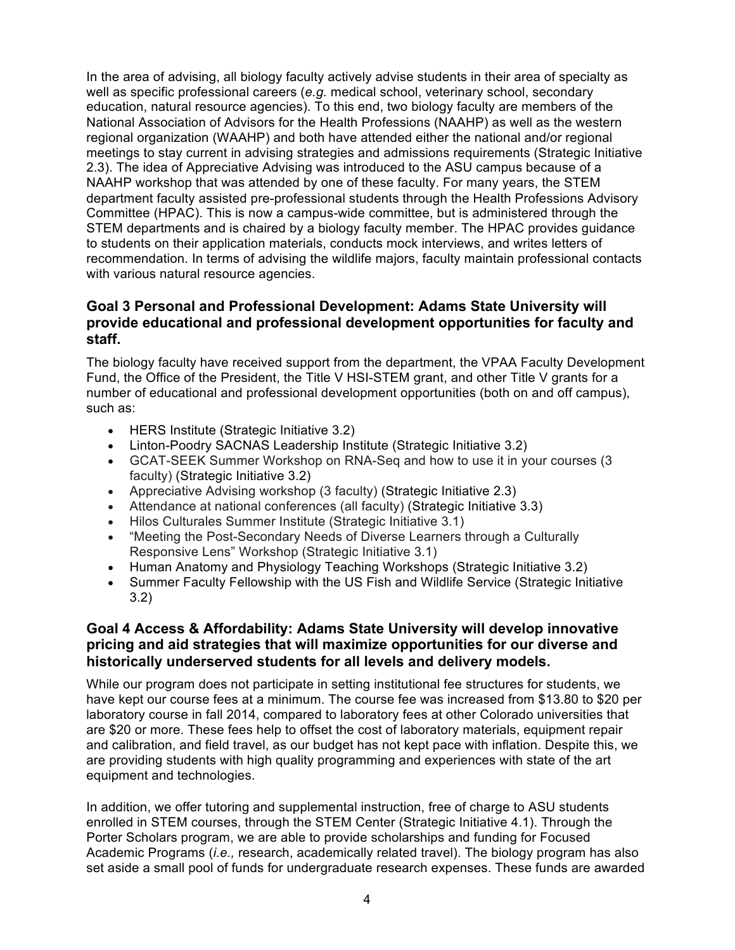In the area of advising, all biology faculty actively advise students in their area of specialty as well as specific professional careers (*e.g.* medical school, veterinary school, secondary education, natural resource agencies). To this end, two biology faculty are members of the National Association of Advisors for the Health Professions (NAAHP) as well as the western regional organization (WAAHP) and both have attended either the national and/or regional meetings to stay current in advising strategies and admissions requirements (Strategic Initiative 2.3). The idea of Appreciative Advising was introduced to the ASU campus because of a NAAHP workshop that was attended by one of these faculty. For many years, the STEM department faculty assisted pre-professional students through the Health Professions Advisory Committee (HPAC). This is now a campus-wide committee, but is administered through the STEM departments and is chaired by a biology faculty member. The HPAC provides guidance to students on their application materials, conducts mock interviews, and writes letters of recommendation. In terms of advising the wildlife majors, faculty maintain professional contacts with various natural resource agencies.

### **Goal 3 Personal and Professional Development: Adams State University will provide educational and professional development opportunities for faculty and staff.**

The biology faculty have received support from the department, the VPAA Faculty Development Fund, the Office of the President, the Title V HSI-STEM grant, and other Title V grants for a number of educational and professional development opportunities (both on and off campus), such as:

- HERS Institute (Strategic Initiative 3.2)
- Linton-Poodry SACNAS Leadership Institute (Strategic Initiative 3.2)
- GCAT-SEEK Summer Workshop on RNA-Seq and how to use it in your courses (3 faculty) (Strategic Initiative 3.2)
- Appreciative Advising workshop (3 faculty) (Strategic Initiative 2.3)
- Attendance at national conferences (all faculty) (Strategic Initiative 3.3)
- Hilos Culturales Summer Institute (Strategic Initiative 3.1)
- "Meeting the Post-Secondary Needs of Diverse Learners through a Culturally Responsive Lens" Workshop (Strategic Initiative 3.1)
- Human Anatomy and Physiology Teaching Workshops (Strategic Initiative 3.2)
- Summer Faculty Fellowship with the US Fish and Wildlife Service (Strategic Initiative 3.2)

### **Goal 4 Access & Affordability: Adams State University will develop innovative pricing and aid strategies that will maximize opportunities for our diverse and historically underserved students for all levels and delivery models.**

While our program does not participate in setting institutional fee structures for students, we have kept our course fees at a minimum. The course fee was increased from \$13.80 to \$20 per laboratory course in fall 2014, compared to laboratory fees at other Colorado universities that are \$20 or more. These fees help to offset the cost of laboratory materials, equipment repair and calibration, and field travel, as our budget has not kept pace with inflation. Despite this, we are providing students with high quality programming and experiences with state of the art equipment and technologies.

In addition, we offer tutoring and supplemental instruction, free of charge to ASU students enrolled in STEM courses, through the STEM Center (Strategic Initiative 4.1). Through the Porter Scholars program, we are able to provide scholarships and funding for Focused Academic Programs (*i.e.,* research, academically related travel). The biology program has also set aside a small pool of funds for undergraduate research expenses. These funds are awarded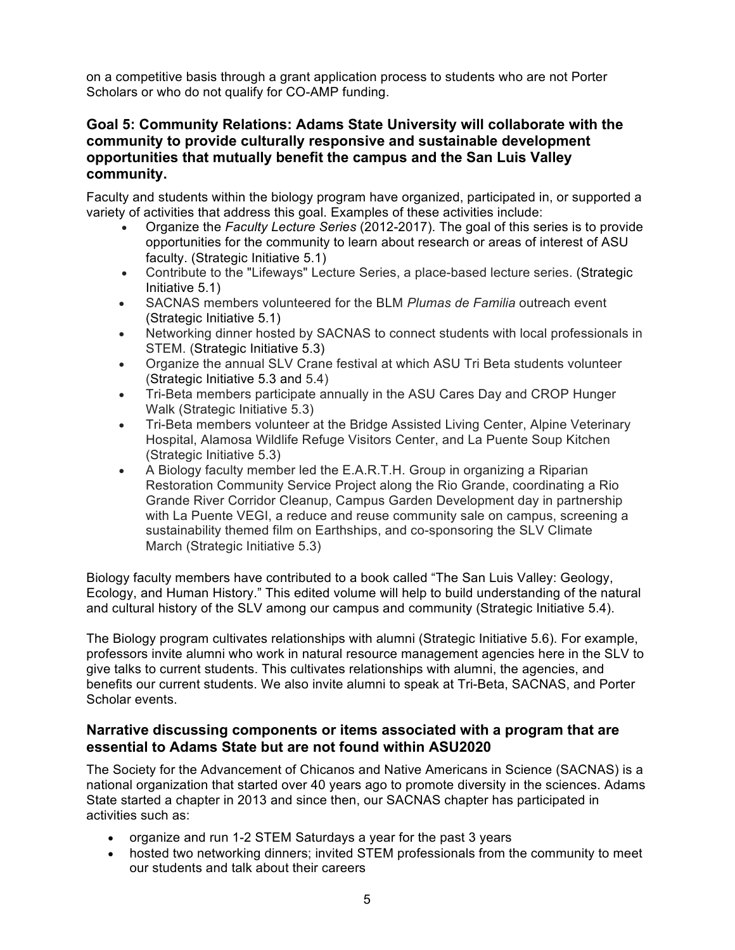on a competitive basis through a grant application process to students who are not Porter Scholars or who do not qualify for CO-AMP funding.

### **Goal 5: Community Relations: Adams State University will collaborate with the community to provide culturally responsive and sustainable development opportunities that mutually benefit the campus and the San Luis Valley community.**

Faculty and students within the biology program have organized, participated in, or supported a variety of activities that address this goal. Examples of these activities include:

- Organize the *Faculty Lecture Series* (2012-2017). The goal of this series is to provide opportunities for the community to learn about research or areas of interest of ASU faculty. (Strategic Initiative 5.1)
- Contribute to the "Lifeways" Lecture Series, a place-based lecture series. (Strategic Initiative 5.1)
- SACNAS members volunteered for the BLM *Plumas de Familia* outreach event (Strategic Initiative 5.1)
- Networking dinner hosted by SACNAS to connect students with local professionals in STEM. (Strategic Initiative 5.3)
- Organize the annual SLV Crane festival at which ASU Tri Beta students volunteer (Strategic Initiative 5.3 and 5.4)
- Tri-Beta members participate annually in the ASU Cares Day and CROP Hunger Walk (Strategic Initiative 5.3)
- Tri-Beta members volunteer at the Bridge Assisted Living Center, Alpine Veterinary Hospital, Alamosa Wildlife Refuge Visitors Center, and La Puente Soup Kitchen (Strategic Initiative 5.3)
- A Biology faculty member led the E.A.R.T.H. Group in organizing a Riparian Restoration Community Service Project along the Rio Grande, coordinating a Rio Grande River Corridor Cleanup, Campus Garden Development day in partnership with La Puente VEGI, a reduce and reuse community sale on campus, screening a sustainability themed film on Earthships, and co-sponsoring the SLV Climate March (Strategic Initiative 5.3)

Biology faculty members have contributed to a book called "The San Luis Valley: Geology, Ecology, and Human History." This edited volume will help to build understanding of the natural and cultural history of the SLV among our campus and community (Strategic Initiative 5.4).

The Biology program cultivates relationships with alumni (Strategic Initiative 5.6). For example, professors invite alumni who work in natural resource management agencies here in the SLV to give talks to current students. This cultivates relationships with alumni, the agencies, and benefits our current students. We also invite alumni to speak at Tri-Beta, SACNAS, and Porter Scholar events.

### **Narrative discussing components or items associated with a program that are essential to Adams State but are not found within ASU2020**

The Society for the Advancement of Chicanos and Native Americans in Science (SACNAS) is a national organization that started over 40 years ago to promote diversity in the sciences. Adams State started a chapter in 2013 and since then, our SACNAS chapter has participated in activities such as:

- organize and run 1-2 STEM Saturdays a year for the past 3 years
- hosted two networking dinners; invited STEM professionals from the community to meet our students and talk about their careers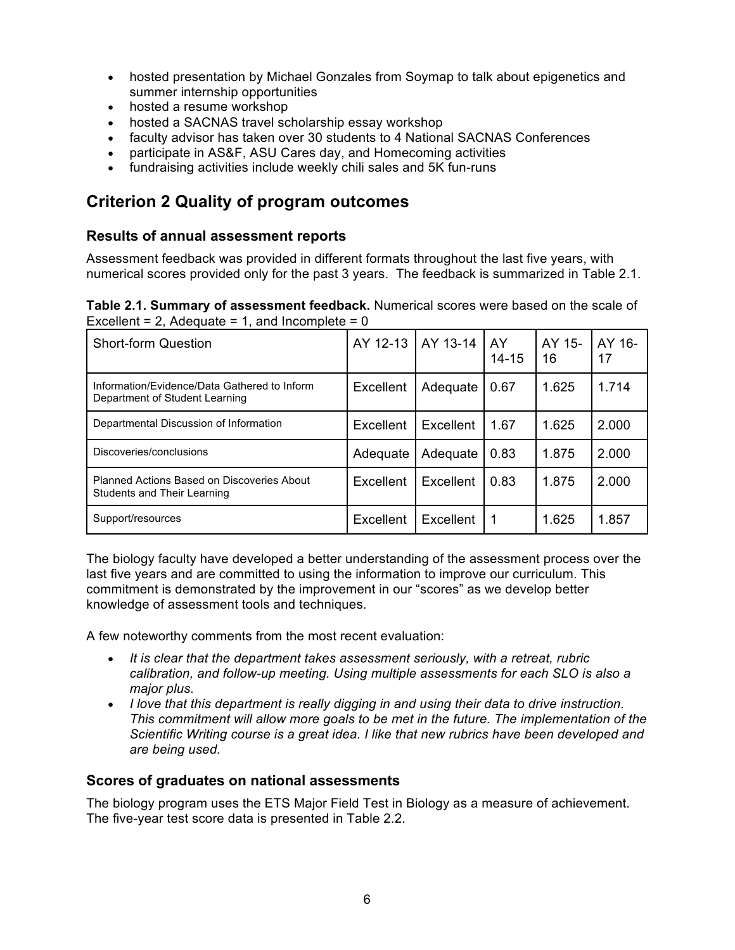- hosted presentation by Michael Gonzales from Soymap to talk about epigenetics and summer internship opportunities
- hosted a resume workshop
- hosted a SACNAS travel scholarship essay workshop
- faculty advisor has taken over 30 students to 4 National SACNAS Conferences
- participate in AS&F, ASU Cares day, and Homecoming activities
- fundraising activities include weekly chili sales and 5K fun-runs

# **Criterion 2 Quality of program outcomes**

#### **Results of annual assessment reports**

Assessment feedback was provided in different formats throughout the last five years, with numerical scores provided only for the past 3 years. The feedback is summarized in Table 2.1.

**Table 2.1. Summary of assessment feedback.** Numerical scores were based on the scale of Excellent = 2, Adequate = 1, and Incomplete =  $0$ 

| <b>Short-form Question</b>                                                     | AY 12-13  | AY 13-14  | AY<br>$14 - 15$ | AY 15-<br>16 | AY 16-<br>17 |
|--------------------------------------------------------------------------------|-----------|-----------|-----------------|--------------|--------------|
| Information/Evidence/Data Gathered to Inform<br>Department of Student Learning | Excellent | Adequate  | 0.67            | 1.625        | 1.714        |
| Departmental Discussion of Information                                         | Excellent | Excellent | 1.67            | 1.625        | 2.000        |
| Discoveries/conclusions                                                        | Adequate  | Adequate  | 0.83            | 1.875        | 2.000        |
| Planned Actions Based on Discoveries About<br>Students and Their Learning      | Excellent | Excellent | 0.83            | 1.875        | 2.000        |
| Support/resources                                                              | Excellent | Excellent | 1               | 1.625        | 1.857        |

The biology faculty have developed a better understanding of the assessment process over the last five years and are committed to using the information to improve our curriculum. This commitment is demonstrated by the improvement in our "scores" as we develop better knowledge of assessment tools and techniques.

A few noteworthy comments from the most recent evaluation:

- *It is clear that the department takes assessment seriously, with a retreat, rubric calibration, and follow-up meeting. Using multiple assessments for each SLO is also a major plus.*
- *I love that this department is really digging in and using their data to drive instruction. This commitment will allow more goals to be met in the future. The implementation of the Scientific Writing course is a great idea. I like that new rubrics have been developed and are being used.*

#### **Scores of graduates on national assessments**

The biology program uses the ETS Major Field Test in Biology as a measure of achievement. The five-year test score data is presented in Table 2.2.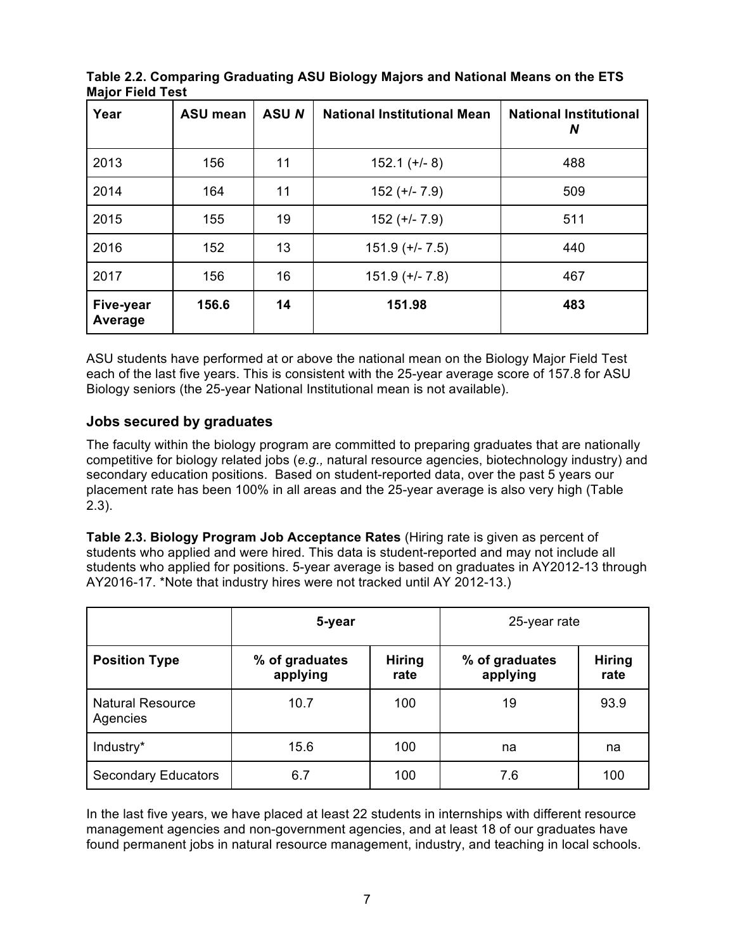| Year                 | <b>ASU mean</b> | <b>ASUN</b> | <b>National Institutional Mean</b> | <b>National Institutional</b><br>N |
|----------------------|-----------------|-------------|------------------------------------|------------------------------------|
| 2013                 | 156             | 11          | $152.1 (+/- 8)$                    | 488                                |
| 2014                 | 164             | 11          | $152 (+/- 7.9)$                    | 509                                |
| 2015                 | 155             | 19          | $152 (+/- 7.9)$                    | 511                                |
| 2016                 | 152             | 13          | $151.9$ (+/- $7.5$ )               | 440                                |
| 2017                 | 156             | 16          | $151.9$ (+/- 7.8)                  | 467                                |
| Five-year<br>Average | 156.6           | 14          | 151.98                             | 483                                |

**Table 2.2. Comparing Graduating ASU Biology Majors and National Means on the ETS Major Field Test**

ASU students have performed at or above the national mean on the Biology Major Field Test each of the last five years. This is consistent with the 25-year average score of 157.8 for ASU Biology seniors (the 25-year National Institutional mean is not available).

### **Jobs secured by graduates**

The faculty within the biology program are committed to preparing graduates that are nationally competitive for biology related jobs (*e.g.,* natural resource agencies, biotechnology industry) and secondary education positions. Based on student-reported data, over the past 5 years our placement rate has been 100% in all areas and the 25-year average is also very high (Table 2.3).

**Table 2.3. Biology Program Job Acceptance Rates** (Hiring rate is given as percent of students who applied and were hired. This data is student-reported and may not include all students who applied for positions. 5-year average is based on graduates in AY2012-13 through AY2016-17. \*Note that industry hires were not tracked until AY 2012-13.)

|                                     | 5-year                                              |     | 25-year rate               |                       |  |  |
|-------------------------------------|-----------------------------------------------------|-----|----------------------------|-----------------------|--|--|
| <b>Position Type</b>                | <b>Hiring</b><br>% of graduates<br>applying<br>rate |     | % of graduates<br>applying | <b>Hiring</b><br>rate |  |  |
| <b>Natural Resource</b><br>Agencies | 10.7                                                | 100 | 19                         | 93.9                  |  |  |
| Industry*                           | 15.6                                                | 100 | na                         | na                    |  |  |
| <b>Secondary Educators</b>          | 6.7                                                 | 100 | 7.6                        | 100                   |  |  |

In the last five years, we have placed at least 22 students in internships with different resource management agencies and non-government agencies, and at least 18 of our graduates have found permanent jobs in natural resource management, industry, and teaching in local schools.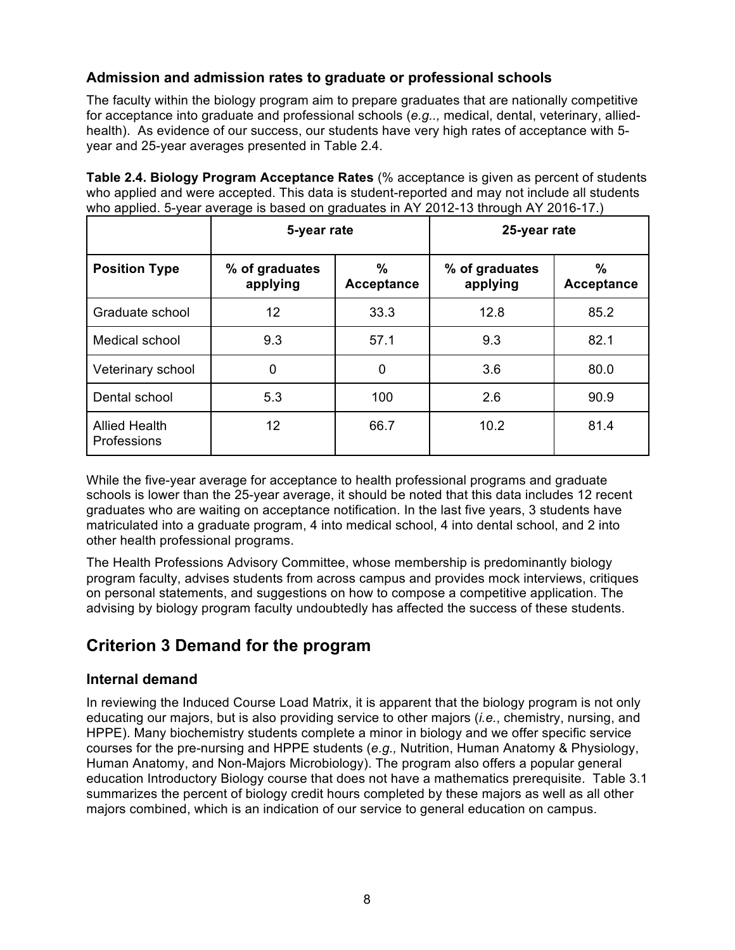### **Admission and admission rates to graduate or professional schools**

The faculty within the biology program aim to prepare graduates that are nationally competitive for acceptance into graduate and professional schools (*e.g..,* medical, dental, veterinary, alliedhealth). As evidence of our success, our students have very high rates of acceptance with 5 year and 25-year averages presented in Table 2.4.

**Table 2.4. Biology Program Acceptance Rates** (% acceptance is given as percent of students who applied and were accepted. This data is student-reported and may not include all students who applied. 5-year average is based on graduates in AY 2012-13 through AY 2016-17.)

|                                     | 5-year rate                |                           | 25-year rate |                    |  |  |
|-------------------------------------|----------------------------|---------------------------|--------------|--------------------|--|--|
| <b>Position Type</b>                | % of graduates<br>applying | $\%$<br><b>Acceptance</b> |              | $\%$<br>Acceptance |  |  |
| Graduate school                     | 12                         | 33.3                      | 12.8         | 85.2               |  |  |
| Medical school                      | 9.3                        | 57.1                      | 9.3          | 82.1               |  |  |
| Veterinary school                   | 0                          | 0                         | 3.6          | 80.0               |  |  |
| Dental school                       | 5.3                        | 100                       | 2.6          | 90.9               |  |  |
| <b>Allied Health</b><br>Professions | 12                         | 66.7                      | 10.2         | 81.4               |  |  |

While the five-year average for acceptance to health professional programs and graduate schools is lower than the 25-year average, it should be noted that this data includes 12 recent graduates who are waiting on acceptance notification. In the last five years, 3 students have matriculated into a graduate program, 4 into medical school, 4 into dental school, and 2 into other health professional programs.

The Health Professions Advisory Committee, whose membership is predominantly biology program faculty, advises students from across campus and provides mock interviews, critiques on personal statements, and suggestions on how to compose a competitive application. The advising by biology program faculty undoubtedly has affected the success of these students.

# **Criterion 3 Demand for the program**

### **Internal demand**

In reviewing the Induced Course Load Matrix, it is apparent that the biology program is not only educating our majors, but is also providing service to other majors (*i.e.*, chemistry, nursing, and HPPE). Many biochemistry students complete a minor in biology and we offer specific service courses for the pre-nursing and HPPE students (*e.g.,* Nutrition, Human Anatomy & Physiology, Human Anatomy, and Non-Majors Microbiology). The program also offers a popular general education Introductory Biology course that does not have a mathematics prerequisite. Table 3.1 summarizes the percent of biology credit hours completed by these majors as well as all other majors combined, which is an indication of our service to general education on campus.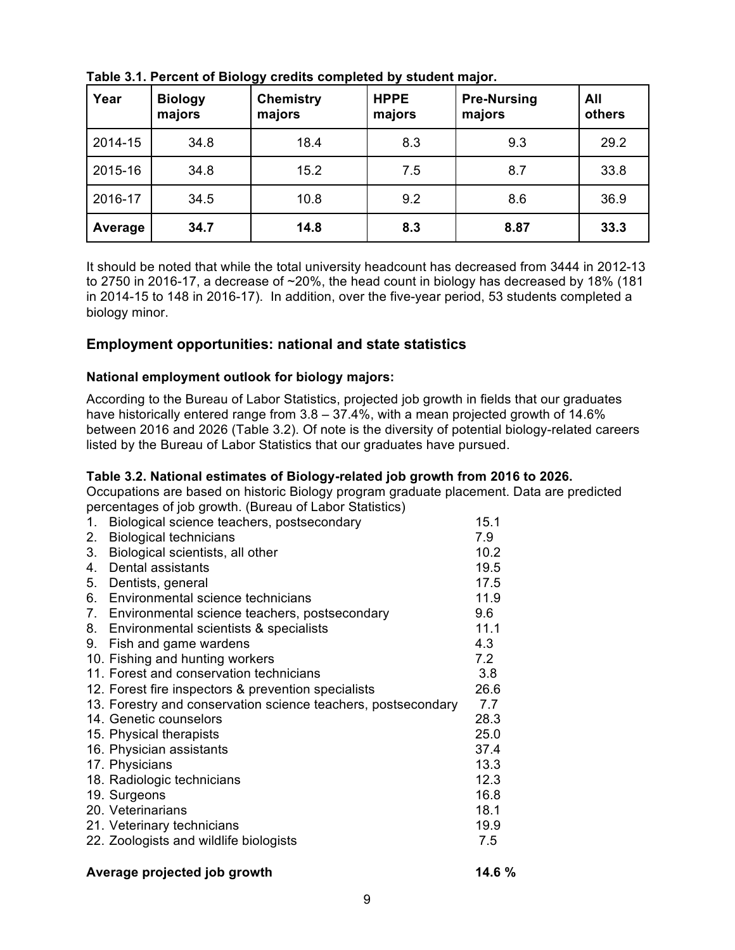| Year    | <b>Biology</b><br>majors | <b>Chemistry</b><br>majors | <b>HPPE</b><br>majors | <b>Pre-Nursing</b><br>majors | All<br>others |
|---------|--------------------------|----------------------------|-----------------------|------------------------------|---------------|
| 2014-15 | 34.8                     | 18.4                       | 8.3                   | 9.3                          | 29.2          |
| 2015-16 | 34.8                     | 15.2                       | 7.5                   | 8.7                          | 33.8          |
| 2016-17 | 34.5                     | 10.8                       | 9.2                   | 8.6                          | 36.9          |
| Average | 34.7                     | 14.8                       | 8.3                   | 8.87                         | 33.3          |

**Table 3.1. Percent of Biology credits completed by student major.**

It should be noted that while the total university headcount has decreased from 3444 in 2012-13 to 2750 in 2016-17, a decrease of ~20%, the head count in biology has decreased by 18% (181 in 2014-15 to 148 in 2016-17). In addition, over the five-year period, 53 students completed a biology minor.

#### **Employment opportunities: national and state statistics**

#### **National employment outlook for biology majors:**

According to the Bureau of Labor Statistics, projected job growth in fields that our graduates have historically entered range from 3.8 - 37.4%, with a mean projected growth of 14.6% between 2016 and 2026 (Table 3.2). Of note is the diversity of potential biology-related careers listed by the Bureau of Labor Statistics that our graduates have pursued.

#### **Table 3.2. National estimates of Biology-related job growth from 2016 to 2026.**

Occupations are based on historic Biology program graduate placement. Data are predicted percentages of job growth. (Bureau of Labor Statistics)

| 1.      | Biological science teachers, postsecondary                    | 15.1 |
|---------|---------------------------------------------------------------|------|
| 2.      | <b>Biological technicians</b>                                 | 7.9  |
| 3.      | Biological scientists, all other                              | 10.2 |
| $4_{-}$ | Dental assistants                                             | 19.5 |
| 5.      | Dentists, general                                             | 17.5 |
|         | 6. Environmental science technicians                          | 11.9 |
|         | 7. Environmental science teachers, postsecondary              | 9.6  |
| 8.      | Environmental scientists & specialists                        | 11.1 |
| 9.      | Fish and game wardens                                         | 4.3  |
|         | 10. Fishing and hunting workers                               | 7.2  |
|         | 11. Forest and conservation technicians                       | 3.8  |
|         | 12. Forest fire inspectors & prevention specialists           | 26.6 |
|         | 13. Forestry and conservation science teachers, postsecondary | 7.7  |
|         | 14. Genetic counselors                                        | 28.3 |
|         | 15. Physical therapists                                       | 25.0 |
|         | 16. Physician assistants                                      | 37.4 |
|         | 17. Physicians                                                | 13.3 |
|         | 18. Radiologic technicians                                    | 12.3 |
|         | 19. Surgeons                                                  | 16.8 |
|         | 20. Veterinarians                                             | 18.1 |
|         | 21. Veterinary technicians                                    | 19.9 |
|         | 22. Zoologists and wildlife biologists                        | 7.5  |
|         |                                                               |      |

#### Average projected job growth 14.6 %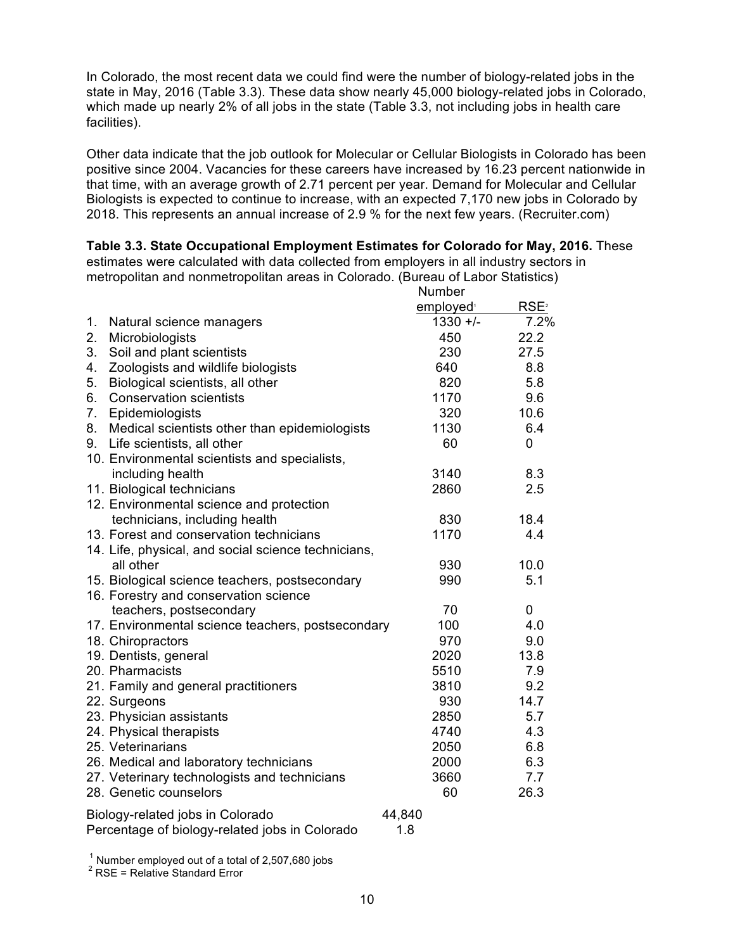In Colorado, the most recent data we could find were the number of biology-related jobs in the state in May, 2016 (Table 3.3). These data show nearly 45,000 biology-related jobs in Colorado, which made up nearly 2% of all jobs in the state (Table 3.3, not including jobs in health care facilities).

Other data indicate that the job outlook for Molecular or Cellular Biologists in Colorado has been positive since 2004. Vacancies for these careers have increased by 16.23 percent nationwide in that time, with an average growth of 2.71 percent per year. Demand for Molecular and Cellular Biologists is expected to continue to increase, with an expected 7,170 new jobs in Colorado by 2018. This represents an annual increase of 2.9 % for the next few years. (Recruiter.com)

**Table 3.3. State Occupational Employment Estimates for Colorado for May, 2016.** These

estimates were calculated with data collected from employers in all industry sectors in metropolitan and nonmetropolitan areas in Colorado. (Bureau of Labor Statistics)

| RSE <sup>2</sup><br>employed <sup>®</sup><br>$1330 +/-$<br>7.2%<br>1.<br>Natural science managers<br>2.<br>22.2<br>450<br>Microbiologists<br>3.<br>Soil and plant scientists<br>230<br>27.5<br>Zoologists and wildlife biologists<br>640<br>8.8<br>4.<br>820<br>5.8<br>5.<br>Biological scientists, all other<br>1170<br>9.6<br>6.<br><b>Conservation scientists</b><br>320<br>7.<br>10.6<br>Epidemiologists<br>8.<br>Medical scientists other than epidemiologists<br>1130<br>6.4<br>60<br>Life scientists, all other<br>0<br>9.<br>10. Environmental scientists and specialists,<br>including health<br>3140<br>8.3<br>11. Biological technicians<br>2860<br>2.5<br>12. Environmental science and protection<br>technicians, including health<br>830<br>18.4<br>13. Forest and conservation technicians<br>1170<br>4.4<br>14. Life, physical, and social science technicians,<br>930<br>10.0<br>all other<br>990<br>5.1<br>15. Biological science teachers, postsecondary<br>16. Forestry and conservation science<br>70<br>0<br>teachers, postsecondary<br>4.0<br>17. Environmental science teachers, postsecondary<br>100<br>970<br>18. Chiropractors<br>9.0<br>2020<br>13.8<br>19. Dentists, general<br>5510<br>7.9<br>20. Pharmacists<br>3810<br>9.2<br>21. Family and general practitioners<br>930<br>14.7<br>22. Surgeons<br>23. Physician assistants<br>2850<br>5.7<br>24. Physical therapists<br>4740<br>4.3<br>25. Veterinarians<br>6.8<br>2050<br>6.3<br>26. Medical and laboratory technicians<br>2000<br>27. Veterinary technologists and technicians<br>3660<br>7.7<br>28. Genetic counselors<br>26.3<br>60 |                                  | Number |  |
|----------------------------------------------------------------------------------------------------------------------------------------------------------------------------------------------------------------------------------------------------------------------------------------------------------------------------------------------------------------------------------------------------------------------------------------------------------------------------------------------------------------------------------------------------------------------------------------------------------------------------------------------------------------------------------------------------------------------------------------------------------------------------------------------------------------------------------------------------------------------------------------------------------------------------------------------------------------------------------------------------------------------------------------------------------------------------------------------------------------------------------------------------------------------------------------------------------------------------------------------------------------------------------------------------------------------------------------------------------------------------------------------------------------------------------------------------------------------------------------------------------------------------------------------------------------------------------------------------------------------------|----------------------------------|--------|--|
|                                                                                                                                                                                                                                                                                                                                                                                                                                                                                                                                                                                                                                                                                                                                                                                                                                                                                                                                                                                                                                                                                                                                                                                                                                                                                                                                                                                                                                                                                                                                                                                                                            |                                  |        |  |
|                                                                                                                                                                                                                                                                                                                                                                                                                                                                                                                                                                                                                                                                                                                                                                                                                                                                                                                                                                                                                                                                                                                                                                                                                                                                                                                                                                                                                                                                                                                                                                                                                            |                                  |        |  |
|                                                                                                                                                                                                                                                                                                                                                                                                                                                                                                                                                                                                                                                                                                                                                                                                                                                                                                                                                                                                                                                                                                                                                                                                                                                                                                                                                                                                                                                                                                                                                                                                                            |                                  |        |  |
|                                                                                                                                                                                                                                                                                                                                                                                                                                                                                                                                                                                                                                                                                                                                                                                                                                                                                                                                                                                                                                                                                                                                                                                                                                                                                                                                                                                                                                                                                                                                                                                                                            |                                  |        |  |
|                                                                                                                                                                                                                                                                                                                                                                                                                                                                                                                                                                                                                                                                                                                                                                                                                                                                                                                                                                                                                                                                                                                                                                                                                                                                                                                                                                                                                                                                                                                                                                                                                            |                                  |        |  |
|                                                                                                                                                                                                                                                                                                                                                                                                                                                                                                                                                                                                                                                                                                                                                                                                                                                                                                                                                                                                                                                                                                                                                                                                                                                                                                                                                                                                                                                                                                                                                                                                                            |                                  |        |  |
|                                                                                                                                                                                                                                                                                                                                                                                                                                                                                                                                                                                                                                                                                                                                                                                                                                                                                                                                                                                                                                                                                                                                                                                                                                                                                                                                                                                                                                                                                                                                                                                                                            |                                  |        |  |
|                                                                                                                                                                                                                                                                                                                                                                                                                                                                                                                                                                                                                                                                                                                                                                                                                                                                                                                                                                                                                                                                                                                                                                                                                                                                                                                                                                                                                                                                                                                                                                                                                            |                                  |        |  |
|                                                                                                                                                                                                                                                                                                                                                                                                                                                                                                                                                                                                                                                                                                                                                                                                                                                                                                                                                                                                                                                                                                                                                                                                                                                                                                                                                                                                                                                                                                                                                                                                                            |                                  |        |  |
|                                                                                                                                                                                                                                                                                                                                                                                                                                                                                                                                                                                                                                                                                                                                                                                                                                                                                                                                                                                                                                                                                                                                                                                                                                                                                                                                                                                                                                                                                                                                                                                                                            |                                  |        |  |
|                                                                                                                                                                                                                                                                                                                                                                                                                                                                                                                                                                                                                                                                                                                                                                                                                                                                                                                                                                                                                                                                                                                                                                                                                                                                                                                                                                                                                                                                                                                                                                                                                            |                                  |        |  |
|                                                                                                                                                                                                                                                                                                                                                                                                                                                                                                                                                                                                                                                                                                                                                                                                                                                                                                                                                                                                                                                                                                                                                                                                                                                                                                                                                                                                                                                                                                                                                                                                                            |                                  |        |  |
|                                                                                                                                                                                                                                                                                                                                                                                                                                                                                                                                                                                                                                                                                                                                                                                                                                                                                                                                                                                                                                                                                                                                                                                                                                                                                                                                                                                                                                                                                                                                                                                                                            |                                  |        |  |
|                                                                                                                                                                                                                                                                                                                                                                                                                                                                                                                                                                                                                                                                                                                                                                                                                                                                                                                                                                                                                                                                                                                                                                                                                                                                                                                                                                                                                                                                                                                                                                                                                            |                                  |        |  |
|                                                                                                                                                                                                                                                                                                                                                                                                                                                                                                                                                                                                                                                                                                                                                                                                                                                                                                                                                                                                                                                                                                                                                                                                                                                                                                                                                                                                                                                                                                                                                                                                                            |                                  |        |  |
|                                                                                                                                                                                                                                                                                                                                                                                                                                                                                                                                                                                                                                                                                                                                                                                                                                                                                                                                                                                                                                                                                                                                                                                                                                                                                                                                                                                                                                                                                                                                                                                                                            |                                  |        |  |
|                                                                                                                                                                                                                                                                                                                                                                                                                                                                                                                                                                                                                                                                                                                                                                                                                                                                                                                                                                                                                                                                                                                                                                                                                                                                                                                                                                                                                                                                                                                                                                                                                            |                                  |        |  |
|                                                                                                                                                                                                                                                                                                                                                                                                                                                                                                                                                                                                                                                                                                                                                                                                                                                                                                                                                                                                                                                                                                                                                                                                                                                                                                                                                                                                                                                                                                                                                                                                                            |                                  |        |  |
|                                                                                                                                                                                                                                                                                                                                                                                                                                                                                                                                                                                                                                                                                                                                                                                                                                                                                                                                                                                                                                                                                                                                                                                                                                                                                                                                                                                                                                                                                                                                                                                                                            |                                  |        |  |
|                                                                                                                                                                                                                                                                                                                                                                                                                                                                                                                                                                                                                                                                                                                                                                                                                                                                                                                                                                                                                                                                                                                                                                                                                                                                                                                                                                                                                                                                                                                                                                                                                            |                                  |        |  |
|                                                                                                                                                                                                                                                                                                                                                                                                                                                                                                                                                                                                                                                                                                                                                                                                                                                                                                                                                                                                                                                                                                                                                                                                                                                                                                                                                                                                                                                                                                                                                                                                                            |                                  |        |  |
|                                                                                                                                                                                                                                                                                                                                                                                                                                                                                                                                                                                                                                                                                                                                                                                                                                                                                                                                                                                                                                                                                                                                                                                                                                                                                                                                                                                                                                                                                                                                                                                                                            |                                  |        |  |
|                                                                                                                                                                                                                                                                                                                                                                                                                                                                                                                                                                                                                                                                                                                                                                                                                                                                                                                                                                                                                                                                                                                                                                                                                                                                                                                                                                                                                                                                                                                                                                                                                            |                                  |        |  |
|                                                                                                                                                                                                                                                                                                                                                                                                                                                                                                                                                                                                                                                                                                                                                                                                                                                                                                                                                                                                                                                                                                                                                                                                                                                                                                                                                                                                                                                                                                                                                                                                                            |                                  |        |  |
|                                                                                                                                                                                                                                                                                                                                                                                                                                                                                                                                                                                                                                                                                                                                                                                                                                                                                                                                                                                                                                                                                                                                                                                                                                                                                                                                                                                                                                                                                                                                                                                                                            |                                  |        |  |
|                                                                                                                                                                                                                                                                                                                                                                                                                                                                                                                                                                                                                                                                                                                                                                                                                                                                                                                                                                                                                                                                                                                                                                                                                                                                                                                                                                                                                                                                                                                                                                                                                            |                                  |        |  |
|                                                                                                                                                                                                                                                                                                                                                                                                                                                                                                                                                                                                                                                                                                                                                                                                                                                                                                                                                                                                                                                                                                                                                                                                                                                                                                                                                                                                                                                                                                                                                                                                                            |                                  |        |  |
|                                                                                                                                                                                                                                                                                                                                                                                                                                                                                                                                                                                                                                                                                                                                                                                                                                                                                                                                                                                                                                                                                                                                                                                                                                                                                                                                                                                                                                                                                                                                                                                                                            |                                  |        |  |
|                                                                                                                                                                                                                                                                                                                                                                                                                                                                                                                                                                                                                                                                                                                                                                                                                                                                                                                                                                                                                                                                                                                                                                                                                                                                                                                                                                                                                                                                                                                                                                                                                            |                                  |        |  |
|                                                                                                                                                                                                                                                                                                                                                                                                                                                                                                                                                                                                                                                                                                                                                                                                                                                                                                                                                                                                                                                                                                                                                                                                                                                                                                                                                                                                                                                                                                                                                                                                                            |                                  |        |  |
|                                                                                                                                                                                                                                                                                                                                                                                                                                                                                                                                                                                                                                                                                                                                                                                                                                                                                                                                                                                                                                                                                                                                                                                                                                                                                                                                                                                                                                                                                                                                                                                                                            |                                  |        |  |
|                                                                                                                                                                                                                                                                                                                                                                                                                                                                                                                                                                                                                                                                                                                                                                                                                                                                                                                                                                                                                                                                                                                                                                                                                                                                                                                                                                                                                                                                                                                                                                                                                            |                                  |        |  |
|                                                                                                                                                                                                                                                                                                                                                                                                                                                                                                                                                                                                                                                                                                                                                                                                                                                                                                                                                                                                                                                                                                                                                                                                                                                                                                                                                                                                                                                                                                                                                                                                                            |                                  |        |  |
|                                                                                                                                                                                                                                                                                                                                                                                                                                                                                                                                                                                                                                                                                                                                                                                                                                                                                                                                                                                                                                                                                                                                                                                                                                                                                                                                                                                                                                                                                                                                                                                                                            | Biology-related jobs in Colorado | 44,840 |  |
| Percentage of biology-related jobs in Colorado<br>1.8                                                                                                                                                                                                                                                                                                                                                                                                                                                                                                                                                                                                                                                                                                                                                                                                                                                                                                                                                                                                                                                                                                                                                                                                                                                                                                                                                                                                                                                                                                                                                                      |                                  |        |  |

<sup>1</sup> Number employed out of a total of 2,507,680 jobs  $^2$  RSE = Relative Standard Error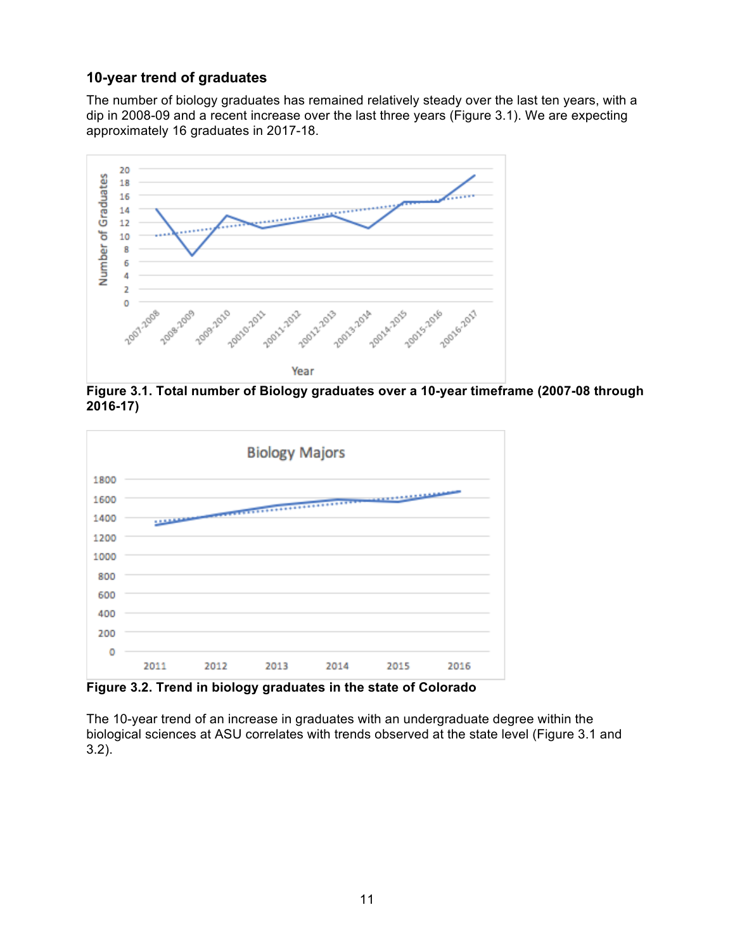### **10-year trend of graduates**

The number of biology graduates has remained relatively steady over the last ten years, with a dip in 2008-09 and a recent increase over the last three years (Figure 3.1). We are expecting approximately 16 graduates in 2017-18.



**Figure 3.1. Total number of Biology graduates over a 10-year timeframe (2007-08 through 2016-17)**



**Figure 3.2. Trend in biology graduates in the state of Colorado**

The 10-year trend of an increase in graduates with an undergraduate degree within the biological sciences at ASU correlates with trends observed at the state level (Figure 3.1 and 3.2).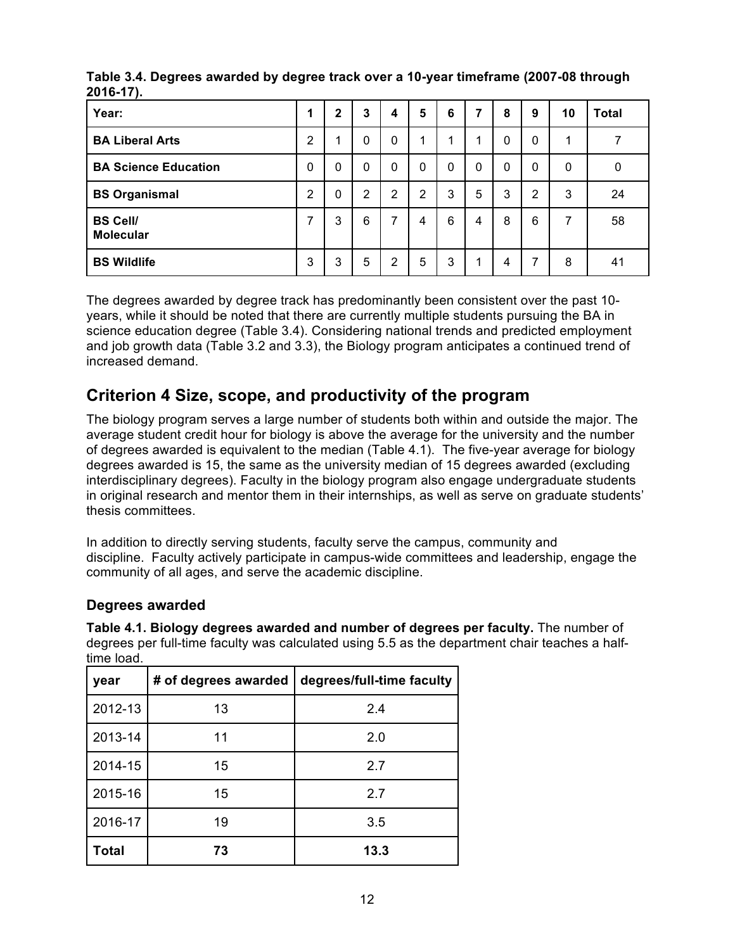| Year:                               |                | 2 | 3              | 4              | 5 | 6           | 7            | 8            | 9              | 10 | <b>Total</b> |
|-------------------------------------|----------------|---|----------------|----------------|---|-------------|--------------|--------------|----------------|----|--------------|
| <b>BA Liberal Arts</b>              | $\overline{2}$ |   | 0              | 0              | 1 | 1           | 4            | 0            | $\Omega$       | 4  |              |
| <b>BA Science Education</b>         | $\Omega$       | 0 | $\Omega$       | $\mathbf{0}$   | 0 | $\mathbf 0$ | $\mathbf{0}$ | $\mathbf{0}$ | 0              | 0  | 0            |
| <b>BS Organismal</b>                | 2              | 0 | $\overline{2}$ | $\overline{2}$ | 2 | 3           | 5            | 3            | $\overline{2}$ | 3  | 24           |
| <b>BS Cell/</b><br><b>Molecular</b> |                | 3 | 6              | 7              | 4 | 6           | 4            | 8            | 6              | 7  | 58           |
| <b>BS Wildlife</b>                  | 3              | 3 | 5              | $\overline{2}$ | 5 | 3           | 1            | 4            | 7              | 8  | 41           |

**Table 3.4. Degrees awarded by degree track over a 10-year timeframe (2007-08 through 2016-17).**

The degrees awarded by degree track has predominantly been consistent over the past 10 years, while it should be noted that there are currently multiple students pursuing the BA in science education degree (Table 3.4). Considering national trends and predicted employment and job growth data (Table 3.2 and 3.3), the Biology program anticipates a continued trend of increased demand.

# **Criterion 4 Size, scope, and productivity of the program**

The biology program serves a large number of students both within and outside the major. The average student credit hour for biology is above the average for the university and the number of degrees awarded is equivalent to the median (Table 4.1). The five-year average for biology degrees awarded is 15, the same as the university median of 15 degrees awarded (excluding interdisciplinary degrees). Faculty in the biology program also engage undergraduate students in original research and mentor them in their internships, as well as serve on graduate students' thesis committees.

In addition to directly serving students, faculty serve the campus, community and discipline. Faculty actively participate in campus-wide committees and leadership, engage the community of all ages, and serve the academic discipline.

### **Degrees awarded**

| year         | # of degrees awarded | degrees/full-time faculty |
|--------------|----------------------|---------------------------|
| 2012-13      | 13                   | 2.4                       |
| 2013-14      | 11                   | 2.0                       |
| 2014-15      | 15                   | 2.7                       |
| 2015-16      | 15                   | 2.7                       |
| 2016-17      | 19                   | 3.5                       |
| <b>Total</b> | 73                   | 13.3                      |

**Table 4.1. Biology degrees awarded and number of degrees per faculty.** The number of degrees per full-time faculty was calculated using 5.5 as the department chair teaches a halftime load.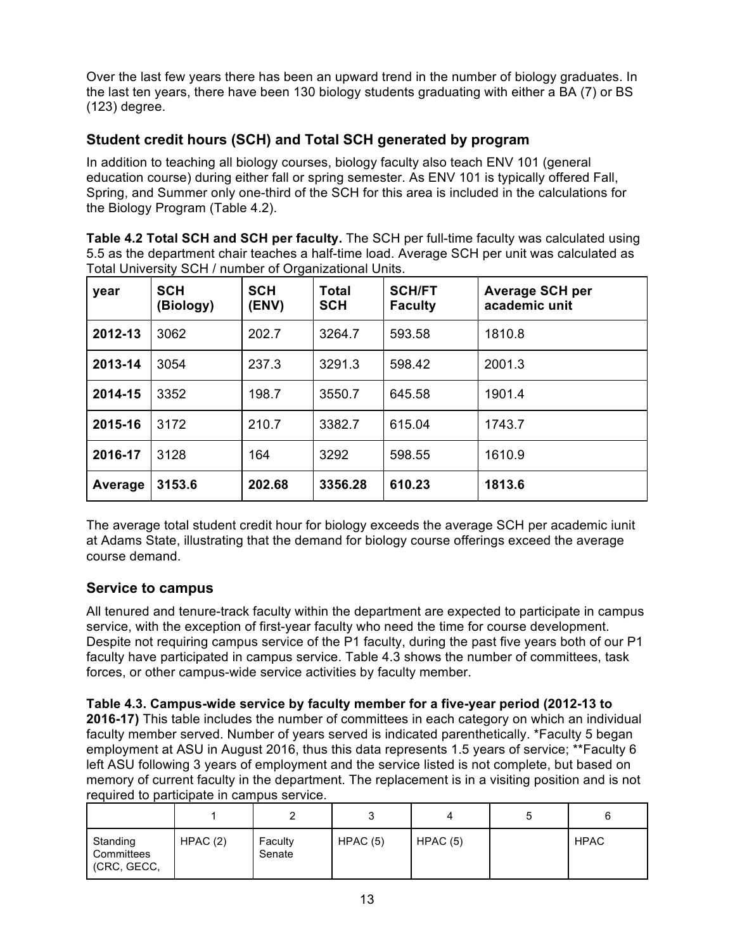Over the last few years there has been an upward trend in the number of biology graduates. In the last ten years, there have been 130 biology students graduating with either a BA (7) or BS (123) degree.

### **Student credit hours (SCH) and Total SCH generated by program**

In addition to teaching all biology courses, biology faculty also teach ENV 101 (general education course) during either fall or spring semester. As ENV 101 is typically offered Fall, Spring, and Summer only one-third of the SCH for this area is included in the calculations for the Biology Program (Table 4.2).

**Table 4.2 Total SCH and SCH per faculty.** The SCH per full-time faculty was calculated using 5.5 as the department chair teaches a half-time load. Average SCH per unit was calculated as Total University SCH / number of Organizational Units.

| year    | <b>SCH</b><br>(Biology) | <b>SCH</b><br>(ENV) | <b>Total</b><br><b>SCH</b> | <b>SCH/FT</b><br><b>Faculty</b> | <b>Average SCH per</b><br>academic unit |
|---------|-------------------------|---------------------|----------------------------|---------------------------------|-----------------------------------------|
| 2012-13 | 3062                    | 202.7               | 3264.7                     | 593.58                          | 1810.8                                  |
| 2013-14 | 3054                    | 237.3               | 3291.3                     | 598.42                          | 2001.3                                  |
| 2014-15 | 3352                    | 198.7               | 3550.7                     | 645.58                          | 1901.4                                  |
| 2015-16 | 3172                    | 210.7               | 3382.7                     | 615.04                          | 1743.7                                  |
| 2016-17 | 3128                    | 164                 | 3292                       | 598.55                          | 1610.9                                  |
| Average | 3153.6                  | 202.68              | 3356.28                    | 610.23                          | 1813.6                                  |

The average total student credit hour for biology exceeds the average SCH per academic iunit at Adams State, illustrating that the demand for biology course offerings exceed the average course demand.

### **Service to campus**

All tenured and tenure-track faculty within the department are expected to participate in campus service, with the exception of first-year faculty who need the time for course development. Despite not requiring campus service of the P1 faculty, during the past five years both of our P1 faculty have participated in campus service. Table 4.3 shows the number of committees, task forces, or other campus-wide service activities by faculty member.

**Table 4.3. Campus-wide service by faculty member for a five-year period (2012-13 to 2016-17)** This table includes the number of committees in each category on which an individual faculty member served. Number of years served is indicated parenthetically. \*Faculty 5 began employment at ASU in August 2016, thus this data represents 1.5 years of service; \*\*Faculty 6 left ASU following 3 years of employment and the service listed is not complete, but based on memory of current faculty in the department. The replacement is in a visiting position and is not required to participate in campus service.

| Standing<br>Committees<br>(CRC, GECC, | HPAC(2) | Faculty<br>Senate | HPAC(5) | HPAC(5) | <b>HPAC</b> |
|---------------------------------------|---------|-------------------|---------|---------|-------------|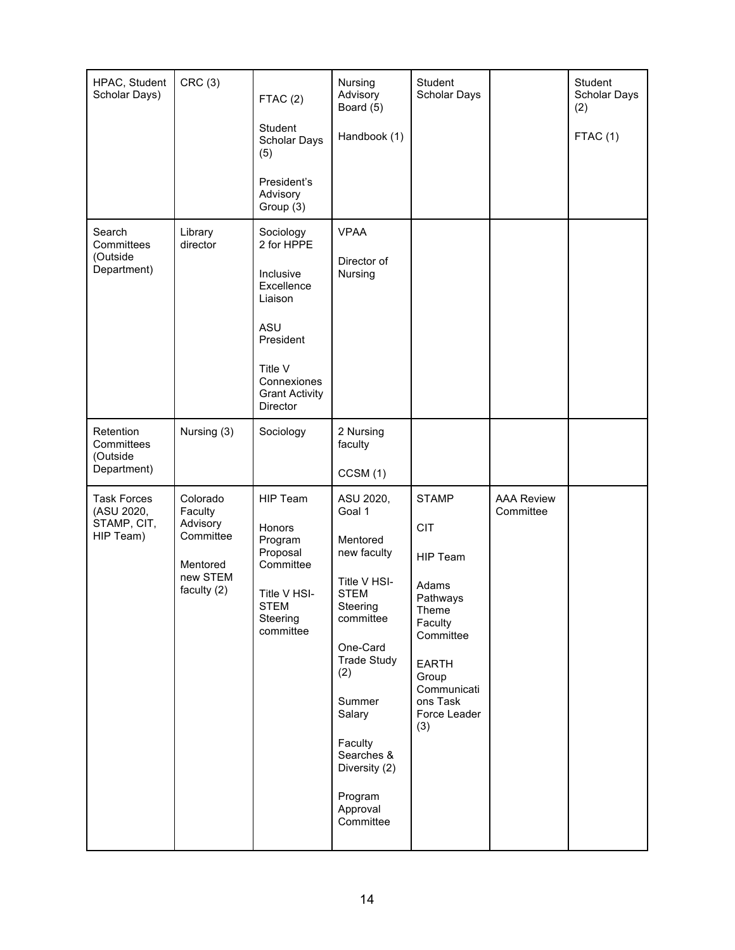| HPAC, Student<br>Scholar Days)                               | CRC(3)                                                                              | FTAC(2)                                                                                                               | Nursing<br>Advisory<br>Board (5)                                                                                  | Student<br>Scholar Days                                                                                                       |                                | Student<br>Scholar Days<br>(2) |
|--------------------------------------------------------------|-------------------------------------------------------------------------------------|-----------------------------------------------------------------------------------------------------------------------|-------------------------------------------------------------------------------------------------------------------|-------------------------------------------------------------------------------------------------------------------------------|--------------------------------|--------------------------------|
|                                                              |                                                                                     | Student<br><b>Scholar Days</b><br>(5)                                                                                 | Handbook (1)                                                                                                      |                                                                                                                               |                                | FTAC (1)                       |
|                                                              |                                                                                     | President's<br>Advisory<br>Group (3)                                                                                  |                                                                                                                   |                                                                                                                               |                                |                                |
| Search<br>Committees<br>(Outside                             | Library<br>director                                                                 | Sociology<br>2 for HPPE                                                                                               | <b>VPAA</b>                                                                                                       |                                                                                                                               |                                |                                |
| Department)                                                  |                                                                                     | Inclusive<br>Excellence<br>Liaison                                                                                    | Director of<br>Nursing                                                                                            |                                                                                                                               |                                |                                |
|                                                              |                                                                                     | ASU<br>President                                                                                                      |                                                                                                                   |                                                                                                                               |                                |                                |
|                                                              |                                                                                     | Title V<br>Connexiones<br><b>Grant Activity</b><br>Director                                                           |                                                                                                                   |                                                                                                                               |                                |                                |
| Retention<br>Committees<br>(Outside                          | Nursing (3)                                                                         | Sociology                                                                                                             | 2 Nursing<br>faculty                                                                                              |                                                                                                                               |                                |                                |
| Department)                                                  |                                                                                     |                                                                                                                       | CCSM(1)                                                                                                           |                                                                                                                               |                                |                                |
| <b>Task Forces</b><br>(ASU 2020,<br>STAMP, CIT,<br>HIP Team) | Colorado<br>Faculty<br>Advisory<br>Committee<br>Mentored<br>new STEM<br>faculty (2) | <b>HIP Team</b><br>Honors<br>Program<br>Proposal<br>Committee<br>Title V HSI-<br><b>STEM</b><br>Steering<br>committee | ASU 2020,<br>Goal 1<br>Mentored<br>new faculty                                                                    | <b>STAMP</b><br><b>CIT</b><br><b>HIP Team</b>                                                                                 | <b>AAA Review</b><br>Committee |                                |
|                                                              |                                                                                     |                                                                                                                       | Title V HSI-<br><b>STEM</b><br>Steering<br>committee<br>One-Card<br><b>Trade Study</b><br>(2)<br>Summer<br>Salary | Adams<br>Pathways<br>Theme<br>Faculty<br>Committee<br><b>EARTH</b><br>Group<br>Communicati<br>ons Task<br>Force Leader<br>(3) |                                |                                |
|                                                              |                                                                                     |                                                                                                                       | Faculty<br>Searches &<br>Diversity (2)                                                                            |                                                                                                                               |                                |                                |
|                                                              |                                                                                     |                                                                                                                       | Program<br>Approval<br>Committee                                                                                  |                                                                                                                               |                                |                                |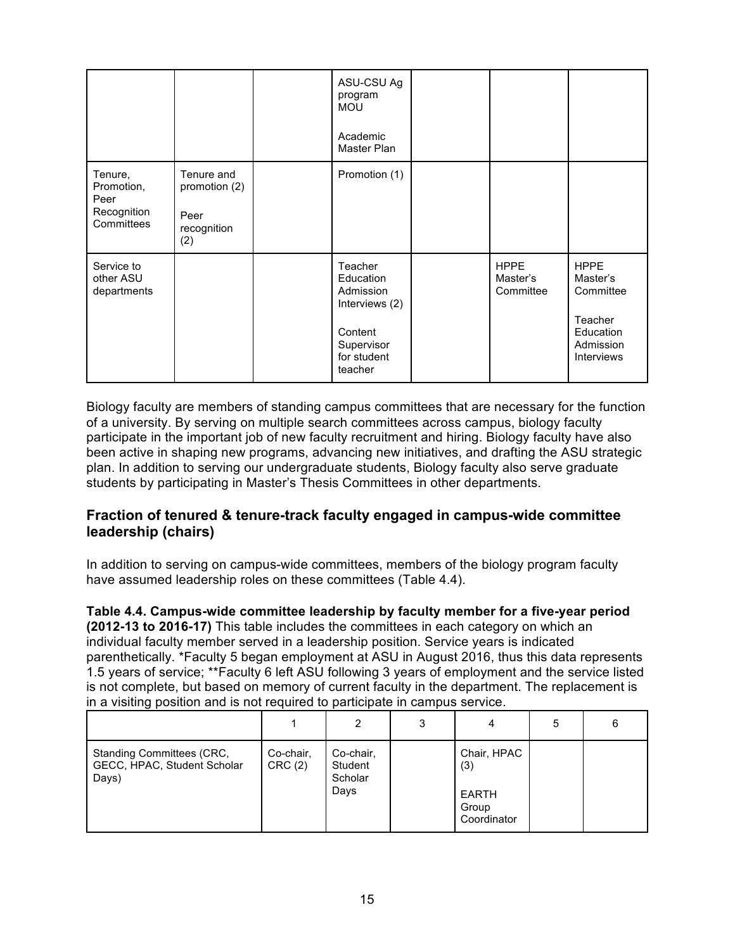|                                                            |                                                           | ASU-CSU Ag<br>program<br><b>MOU</b><br>Academic<br>Master Plan                                         |                                      |                                                                                         |
|------------------------------------------------------------|-----------------------------------------------------------|--------------------------------------------------------------------------------------------------------|--------------------------------------|-----------------------------------------------------------------------------------------|
| Tenure,<br>Promotion,<br>Peer<br>Recognition<br>Committees | Tenure and<br>promotion (2)<br>Peer<br>recognition<br>(2) | Promotion (1)                                                                                          |                                      |                                                                                         |
| Service to<br>other ASU<br>departments                     |                                                           | Teacher<br>Education<br>Admission<br>Interviews (2)<br>Content<br>Supervisor<br>for student<br>teacher | <b>HPPE</b><br>Master's<br>Committee | <b>HPPE</b><br>Master's<br>Committee<br>Teacher<br>Education<br>Admission<br>Interviews |

Biology faculty are members of standing campus committees that are necessary for the function of a university. By serving on multiple search committees across campus, biology faculty participate in the important job of new faculty recruitment and hiring. Biology faculty have also been active in shaping new programs, advancing new initiatives, and drafting the ASU strategic plan. In addition to serving our undergraduate students, Biology faculty also serve graduate students by participating in Master's Thesis Committees in other departments.

### **Fraction of tenured & tenure-track faculty engaged in campus-wide committee leadership (chairs)**

In addition to serving on campus-wide committees, members of the biology program faculty have assumed leadership roles on these committees (Table 4.4).

**Table 4.4. Campus-wide committee leadership by faculty member for a five-year period (2012-13 to 2016-17)** This table includes the committees in each category on which an individual faculty member served in a leadership position. Service years is indicated parenthetically. \*Faculty 5 began employment at ASU in August 2016, thus this data represents 1.5 years of service; \*\*Faculty 6 left ASU following 3 years of employment and the service listed is not complete, but based on memory of current faculty in the department. The replacement is in a visiting position and is not required to participate in campus service.

|                                                                   |                     | 2                                       | 3 | 4                                                   | 5 | 6 |
|-------------------------------------------------------------------|---------------------|-----------------------------------------|---|-----------------------------------------------------|---|---|
| Standing Committees (CRC,<br>GECC, HPAC, Student Scholar<br>Days) | Co-chair,<br>CRC(2) | Co-chair,<br>Student<br>Scholar<br>Days |   | Chair, HPAC<br>(3)<br>EARTH<br>Group<br>Coordinator |   |   |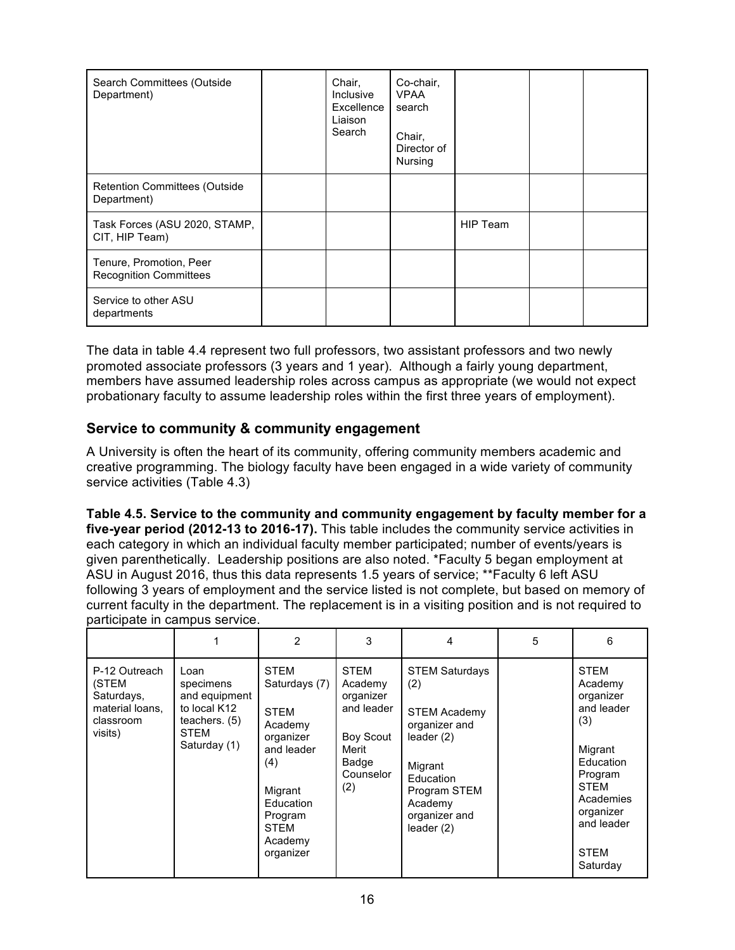| Search Committees (Outside<br>Department)                | Chair,<br>Inclusive<br>Excellence<br>Liaison<br>Search | Co-chair,<br><b>VPAA</b><br>search<br>Chair,<br>Director of<br>Nursing |                 |  |
|----------------------------------------------------------|--------------------------------------------------------|------------------------------------------------------------------------|-----------------|--|
| <b>Retention Committees (Outside</b><br>Department)      |                                                        |                                                                        |                 |  |
| Task Forces (ASU 2020, STAMP,<br>CIT, HIP Team)          |                                                        |                                                                        | <b>HIP Team</b> |  |
| Tenure, Promotion, Peer<br><b>Recognition Committees</b> |                                                        |                                                                        |                 |  |
| Service to other ASU<br>departments                      |                                                        |                                                                        |                 |  |

The data in table 4.4 represent two full professors, two assistant professors and two newly promoted associate professors (3 years and 1 year). Although a fairly young department, members have assumed leadership roles across campus as appropriate (we would not expect probationary faculty to assume leadership roles within the first three years of employment).

### **Service to community & community engagement**

A University is often the heart of its community, offering community members academic and creative programming. The biology faculty have been engaged in a wide variety of community service activities (Table 4.3)

**Table 4.5. Service to the community and community engagement by faculty member for a five-year period (2012-13 to 2016-17).** This table includes the community service activities in each category in which an individual faculty member participated; number of events/years is given parenthetically. Leadership positions are also noted. \*Faculty 5 began employment at ASU in August 2016, thus this data represents 1.5 years of service; \*\*Faculty 6 left ASU following 3 years of employment and the service listed is not complete, but based on memory of current faculty in the department. The replacement is in a visiting position and is not required to participate in campus service.

|                                                                                 |                                                                                               | 2                                                                                                                                                                  | 3                                                                                                    | 4                                                                                                                                                                        | 5 | 6                                                                                                                                                                             |
|---------------------------------------------------------------------------------|-----------------------------------------------------------------------------------------------|--------------------------------------------------------------------------------------------------------------------------------------------------------------------|------------------------------------------------------------------------------------------------------|--------------------------------------------------------------------------------------------------------------------------------------------------------------------------|---|-------------------------------------------------------------------------------------------------------------------------------------------------------------------------------|
| P-12 Outreach<br>(STEM<br>Saturdays,<br>material loans,<br>classroom<br>visits) | Loan<br>specimens<br>and equipment<br>to local K12<br>teachers. $(5)$<br>STEM<br>Saturday (1) | <b>STEM</b><br>Saturdays (7)<br><b>STEM</b><br>Academy<br>organizer<br>and leader<br>(4)<br>Migrant<br>Education<br>Program<br><b>STEM</b><br>Academy<br>organizer | <b>STEM</b><br>Academy<br>organizer<br>and leader<br>Boy Scout<br>Merit<br>Badge<br>Counselor<br>(2) | <b>STEM Saturdays</b><br>(2)<br><b>STEM Academy</b><br>organizer and<br>leader $(2)$<br>Migrant<br>Education<br>Program STEM<br>Academy<br>organizer and<br>leader $(2)$ |   | <b>STEM</b><br>Academy<br>organizer<br>and leader<br>(3)<br>Migrant<br>Education<br>Program<br><b>STEM</b><br>Academies<br>organizer<br>and leader<br><b>STEM</b><br>Saturday |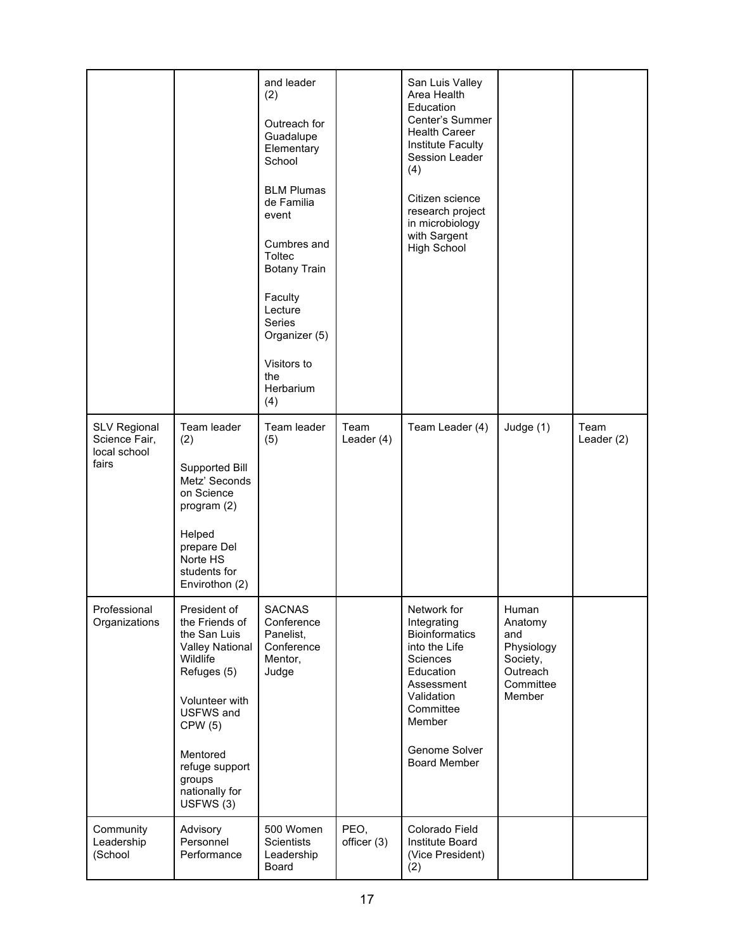|                                                               |                                                                                                                                                                                                                     | and leader<br>(2)<br>Outreach for<br>Guadalupe<br>Elementary<br>School<br><b>BLM Plumas</b><br>de Familia<br>event<br>Cumbres and<br>Toltec<br><b>Botany Train</b><br>Faculty<br>Lecture<br><b>Series</b><br>Organizer (5)<br>Visitors to<br>the<br>Herbarium<br>(4) |                     | San Luis Valley<br>Area Health<br>Education<br>Center's Summer<br><b>Health Career</b><br>Institute Faculty<br>Session Leader<br>(4)<br>Citizen science<br>research project<br>in microbiology<br>with Sargent<br><b>High School</b> |                                                                                      |                      |
|---------------------------------------------------------------|---------------------------------------------------------------------------------------------------------------------------------------------------------------------------------------------------------------------|----------------------------------------------------------------------------------------------------------------------------------------------------------------------------------------------------------------------------------------------------------------------|---------------------|--------------------------------------------------------------------------------------------------------------------------------------------------------------------------------------------------------------------------------------|--------------------------------------------------------------------------------------|----------------------|
| <b>SLV Regional</b><br>Science Fair,<br>local school<br>fairs | Team leader<br>(2)<br>Supported Bill<br>Metz' Seconds<br>on Science<br>program (2)<br>Helped<br>prepare Del<br>Norte HS<br>students for<br>Envirothon (2)                                                           | Team leader<br>(5)                                                                                                                                                                                                                                                   | Team<br>Leader (4)  | Team Leader (4)                                                                                                                                                                                                                      | Judge (1)                                                                            | Team<br>Leader $(2)$ |
| Professional<br>Organizations                                 | President of<br>the Friends of<br>the San Luis<br><b>Valley National</b><br>Wildlife<br>Refuges (5)<br>Volunteer with<br>USFWS and<br>CPW(5)<br>Mentored<br>refuge support<br>groups<br>nationally for<br>USFWS (3) | <b>SACNAS</b><br>Conference<br>Panelist,<br>Conference<br>Mentor,<br>Judge                                                                                                                                                                                           |                     | Network for<br>Integrating<br><b>Bioinformatics</b><br>into the Life<br>Sciences<br>Education<br>Assessment<br>Validation<br>Committee<br>Member<br>Genome Solver<br><b>Board Member</b>                                             | Human<br>Anatomy<br>and<br>Physiology<br>Society,<br>Outreach<br>Committee<br>Member |                      |
| Community<br>Leadership<br>(School                            | Advisory<br>Personnel<br>Performance                                                                                                                                                                                | 500 Women<br><b>Scientists</b><br>Leadership<br>Board                                                                                                                                                                                                                | PEO,<br>officer (3) | Colorado Field<br>Institute Board<br>(Vice President)<br>(2)                                                                                                                                                                         |                                                                                      |                      |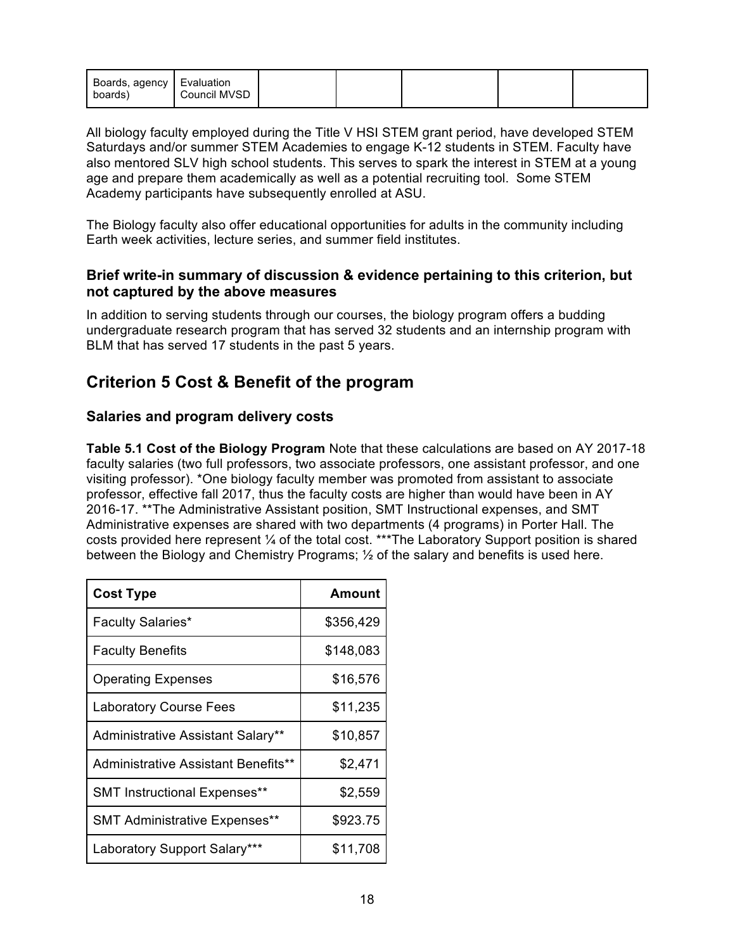| Boards, agency   Evaluation<br>boards) | Council MVSD |  |  |  |  |  |
|----------------------------------------|--------------|--|--|--|--|--|
|----------------------------------------|--------------|--|--|--|--|--|

All biology faculty employed during the Title V HSI STEM grant period, have developed STEM Saturdays and/or summer STEM Academies to engage K-12 students in STEM. Faculty have also mentored SLV high school students. This serves to spark the interest in STEM at a young age and prepare them academically as well as a potential recruiting tool. Some STEM Academy participants have subsequently enrolled at ASU.

The Biology faculty also offer educational opportunities for adults in the community including Earth week activities, lecture series, and summer field institutes.

#### **Brief write-in summary of discussion & evidence pertaining to this criterion, but not captured by the above measures**

In addition to serving students through our courses, the biology program offers a budding undergraduate research program that has served 32 students and an internship program with BLM that has served 17 students in the past 5 years.

# **Criterion 5 Cost & Benefit of the program**

### **Salaries and program delivery costs**

**Table 5.1 Cost of the Biology Program** Note that these calculations are based on AY 2017-18 faculty salaries (two full professors, two associate professors, one assistant professor, and one visiting professor). \*One biology faculty member was promoted from assistant to associate professor, effective fall 2017, thus the faculty costs are higher than would have been in AY 2016-17. \*\*The Administrative Assistant position, SMT Instructional expenses, and SMT Administrative expenses are shared with two departments (4 programs) in Porter Hall. The costs provided here represent ¼ of the total cost. \*\*\*The Laboratory Support position is shared between the Biology and Chemistry Programs;  $\frac{1}{2}$  of the salary and benefits is used here.

| <b>Cost Type</b>                     | <b>Amount</b> |
|--------------------------------------|---------------|
| <b>Faculty Salaries*</b>             | \$356,429     |
| <b>Faculty Benefits</b>              | \$148,083     |
| <b>Operating Expenses</b>            | \$16,576      |
| <b>Laboratory Course Fees</b>        | \$11,235      |
| Administrative Assistant Salary**    | \$10,857      |
| Administrative Assistant Benefits**  | \$2,471       |
| <b>SMT Instructional Expenses**</b>  | \$2,559       |
| <b>SMT Administrative Expenses**</b> | \$923.75      |
| Laboratory Support Salary***         | \$11,708      |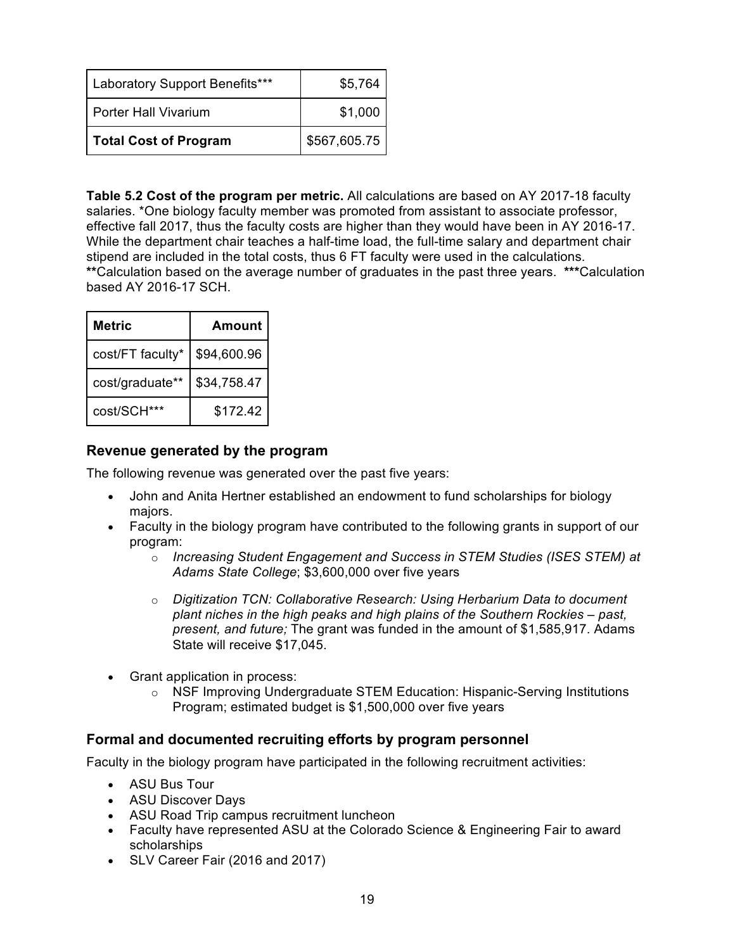| Laboratory Support Benefits*** | \$5,764      |
|--------------------------------|--------------|
| <b>Porter Hall Vivarium</b>    | \$1,000      |
| <b>Total Cost of Program</b>   | \$567,605.75 |

**Table 5.2 Cost of the program per metric.** All calculations are based on AY 2017-18 faculty salaries. \*One biology faculty member was promoted from assistant to associate professor, effective fall 2017, thus the faculty costs are higher than they would have been in AY 2016-17. While the department chair teaches a half-time load, the full-time salary and department chair stipend are included in the total costs, thus 6 FT faculty were used in the calculations. **\*\***Calculation based on the average number of graduates in the past three years. **\*\*\***Calculation based AY 2016-17 SCH.

| Metric           | Amount      |
|------------------|-------------|
| cost/FT faculty* | \$94,600.96 |
| cost/graduate**  | \$34,758.47 |
| cost/SCH***      | \$172.42    |

#### **Revenue generated by the program**

The following revenue was generated over the past five years:

- John and Anita Hertner established an endowment to fund scholarships for biology majors.
- Faculty in the biology program have contributed to the following grants in support of our program:
	- o *Increasing Student Engagement and Success in STEM Studies (ISES STEM) at Adams State College*; \$3,600,000 over five years
	- o *Digitization TCN: Collaborative Research: Using Herbarium Data to document plant niches in the high peaks and high plains of the Southern Rockies – past, present, and future;* The grant was funded in the amount of \$1,585,917. Adams State will receive \$17,045.
- Grant application in process:
	- o NSF Improving Undergraduate STEM Education: Hispanic-Serving Institutions Program; estimated budget is \$1,500,000 over five years

### **Formal and documented recruiting efforts by program personnel**

Faculty in the biology program have participated in the following recruitment activities:

- ASU Bus Tour
- ASU Discover Days
- ASU Road Trip campus recruitment luncheon
- Faculty have represented ASU at the Colorado Science & Engineering Fair to award scholarships
- SLV Career Fair (2016 and 2017)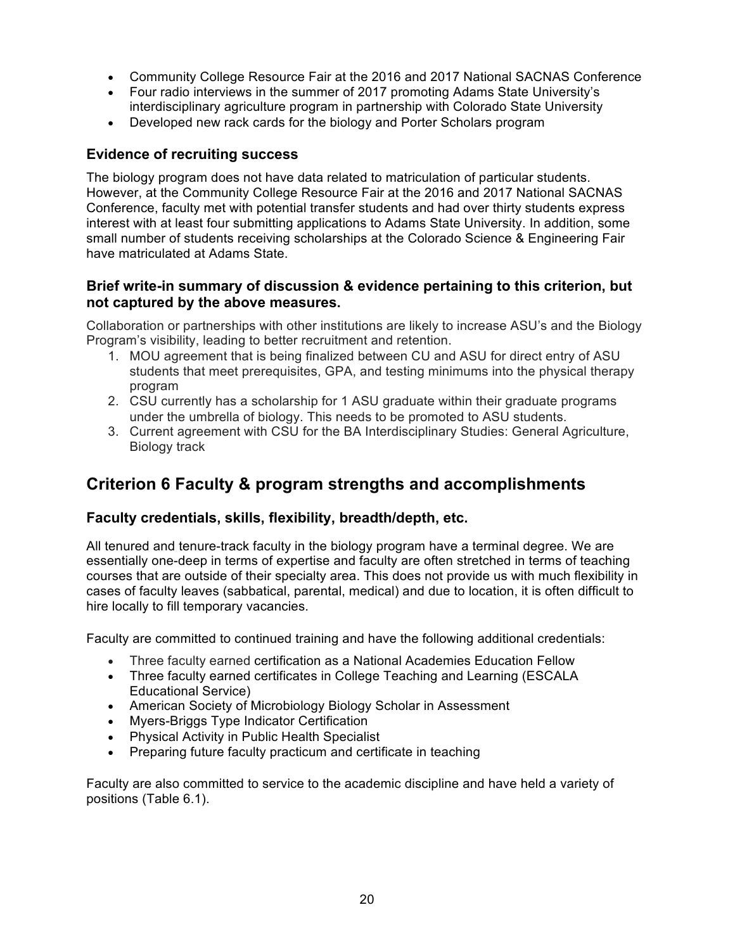- Community College Resource Fair at the 2016 and 2017 National SACNAS Conference
- Four radio interviews in the summer of 2017 promoting Adams State University's interdisciplinary agriculture program in partnership with Colorado State University
- Developed new rack cards for the biology and Porter Scholars program

### **Evidence of recruiting success**

The biology program does not have data related to matriculation of particular students. However, at the Community College Resource Fair at the 2016 and 2017 National SACNAS Conference, faculty met with potential transfer students and had over thirty students express interest with at least four submitting applications to Adams State University. In addition, some small number of students receiving scholarships at the Colorado Science & Engineering Fair have matriculated at Adams State.

### **Brief write-in summary of discussion & evidence pertaining to this criterion, but not captured by the above measures.**

Collaboration or partnerships with other institutions are likely to increase ASU's and the Biology Program's visibility, leading to better recruitment and retention.

- 1. MOU agreement that is being finalized between CU and ASU for direct entry of ASU students that meet prerequisites, GPA, and testing minimums into the physical therapy program
- 2. CSU currently has a scholarship for 1 ASU graduate within their graduate programs under the umbrella of biology. This needs to be promoted to ASU students.
- 3. Current agreement with CSU for the BA Interdisciplinary Studies: General Agriculture, Biology track

# **Criterion 6 Faculty & program strengths and accomplishments**

### **Faculty credentials, skills, flexibility, breadth/depth, etc.**

All tenured and tenure-track faculty in the biology program have a terminal degree. We are essentially one-deep in terms of expertise and faculty are often stretched in terms of teaching courses that are outside of their specialty area. This does not provide us with much flexibility in cases of faculty leaves (sabbatical, parental, medical) and due to location, it is often difficult to hire locally to fill temporary vacancies.

Faculty are committed to continued training and have the following additional credentials:

- Three faculty earned certification as a National Academies Education Fellow
- Three faculty earned certificates in College Teaching and Learning (ESCALA Educational Service)
- American Society of Microbiology Biology Scholar in Assessment
- Myers-Briggs Type Indicator Certification
- Physical Activity in Public Health Specialist
- Preparing future faculty practicum and certificate in teaching

Faculty are also committed to service to the academic discipline and have held a variety of positions (Table 6.1).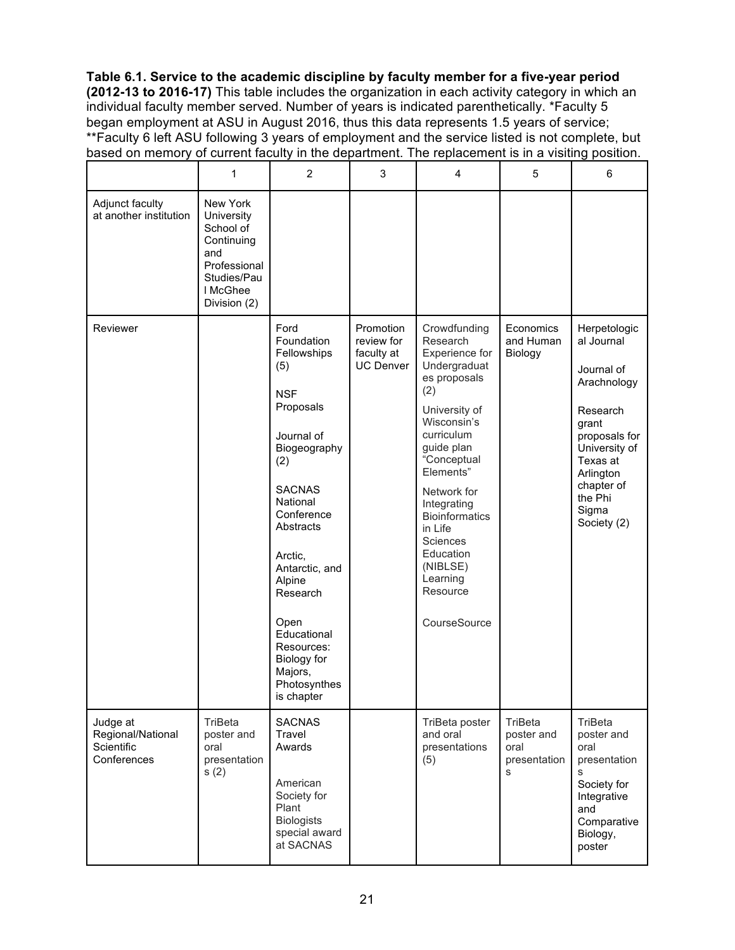**Table 6.1. Service to the academic discipline by faculty member for a five-year period (2012-13 to 2016-17)** This table includes the organization in each activity category in which an individual faculty member served. Number of years is indicated parenthetically. \*Faculty 5 began employment at ASU in August 2016, thus this data represents 1.5 years of service; \*\*Faculty 6 left ASU following 3 years of employment and the service listed is not complete, but based on memory of current faculty in the department. The replacement is in a visiting position.

|                                                            | 1                                                                                                                   | $\overline{c}$                                                                                                                                                                                                                                                                                                   | 3                                                         | 4                                                                                                                                                                                                                                                                                                                        | 5                                                  | 6                                                                                                                                                                                        |
|------------------------------------------------------------|---------------------------------------------------------------------------------------------------------------------|------------------------------------------------------------------------------------------------------------------------------------------------------------------------------------------------------------------------------------------------------------------------------------------------------------------|-----------------------------------------------------------|--------------------------------------------------------------------------------------------------------------------------------------------------------------------------------------------------------------------------------------------------------------------------------------------------------------------------|----------------------------------------------------|------------------------------------------------------------------------------------------------------------------------------------------------------------------------------------------|
| Adjunct faculty<br>at another institution                  | New York<br>University<br>School of<br>Continuing<br>and<br>Professional<br>Studies/Pau<br>I McGhee<br>Division (2) |                                                                                                                                                                                                                                                                                                                  |                                                           |                                                                                                                                                                                                                                                                                                                          |                                                    |                                                                                                                                                                                          |
| Reviewer                                                   |                                                                                                                     | Ford<br>Foundation<br>Fellowships<br>(5)<br><b>NSF</b><br>Proposals<br>Journal of<br>Biogeography<br>(2)<br><b>SACNAS</b><br>National<br>Conference<br>Abstracts<br>Arctic,<br>Antarctic, and<br>Alpine<br>Research<br>Open<br>Educational<br>Resources:<br>Biology for<br>Majors,<br>Photosynthes<br>is chapter | Promotion<br>review for<br>faculty at<br><b>UC Denver</b> | Crowdfunding<br>Research<br>Experience for<br>Undergraduat<br>es proposals<br>(2)<br>University of<br>Wisconsin's<br>curriculum<br>guide plan<br>"Conceptual<br>Elements"<br>Network for<br>Integrating<br><b>Bioinformatics</b><br>in Life<br>Sciences<br>Education<br>(NIBLSE)<br>Learning<br>Resource<br>CourseSource | Economics<br>and Human<br>Biology                  | Herpetologic<br>al Journal<br>Journal of<br>Arachnology<br>Research<br>grant<br>proposals for<br>University of<br>Texas at<br>Arlington<br>chapter of<br>the Phi<br>Sigma<br>Society (2) |
| Judge at<br>Regional/National<br>Scientific<br>Conferences | TriBeta<br>poster and<br>oral<br>presentation<br>s(2)                                                               | <b>SACNAS</b><br>Travel<br>Awards<br>American<br>Society for<br>Plant<br><b>Biologists</b><br>special award<br>at SACNAS                                                                                                                                                                                         |                                                           | TriBeta poster<br>and oral<br>presentations<br>(5)                                                                                                                                                                                                                                                                       | TriBeta<br>poster and<br>oral<br>presentation<br>S | TriBeta<br>poster and<br>oral<br>presentation<br>S<br>Society for<br>Integrative<br>and<br>Comparative<br>Biology,<br>poster                                                             |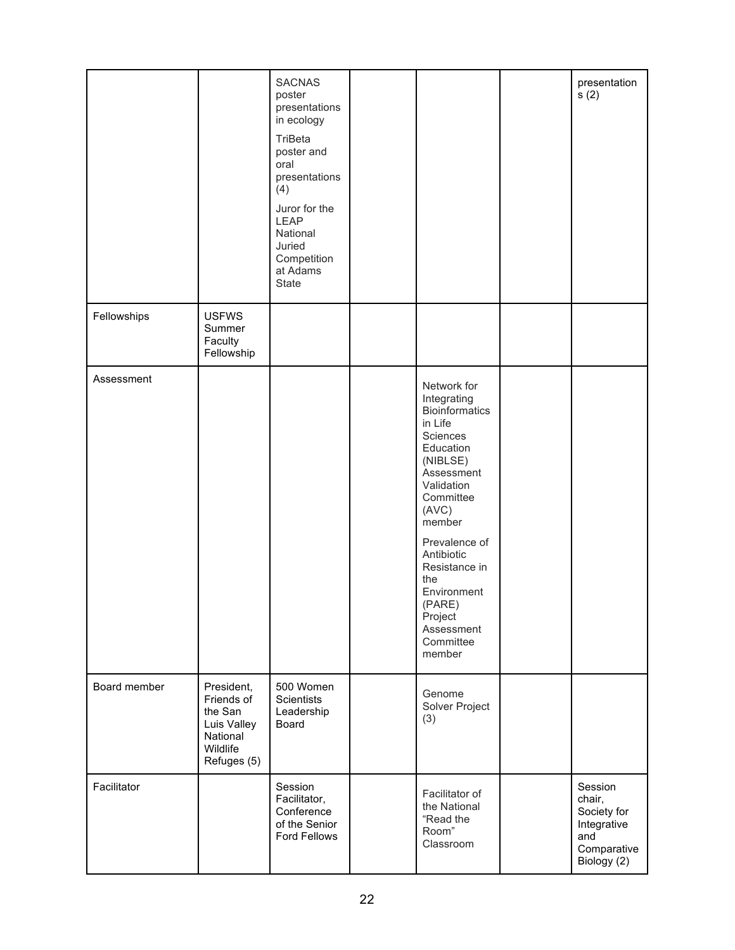|              |                                                                                           | <b>SACNAS</b><br>poster<br>presentations<br>in ecology<br>TriBeta<br>poster and<br>oral<br>presentations<br>(4)<br>Juror for the<br>LEAP<br>National<br>Juried<br>Competition<br>at Adams<br>State |                                                                                                                                                                                                                                                                                                 | presentation<br>s(2)                                                                 |
|--------------|-------------------------------------------------------------------------------------------|----------------------------------------------------------------------------------------------------------------------------------------------------------------------------------------------------|-------------------------------------------------------------------------------------------------------------------------------------------------------------------------------------------------------------------------------------------------------------------------------------------------|--------------------------------------------------------------------------------------|
| Fellowships  | <b>USFWS</b><br>Summer<br>Faculty<br>Fellowship                                           |                                                                                                                                                                                                    |                                                                                                                                                                                                                                                                                                 |                                                                                      |
| Assessment   |                                                                                           |                                                                                                                                                                                                    | Network for<br>Integrating<br><b>Bioinformatics</b><br>in Life<br>Sciences<br>Education<br>(NIBLSE)<br>Assessment<br>Validation<br>Committee<br>(AVC)<br>member<br>Prevalence of<br>Antibiotic<br>Resistance in<br>the<br>Environment<br>(PARE)<br>Project<br>Assessment<br>Committee<br>member |                                                                                      |
| Board member | President,<br>Friends of<br>the San<br>Luis Valley<br>National<br>Wildlife<br>Refuges (5) | 500 Women<br>Scientists<br>Leadership<br>Board                                                                                                                                                     | Genome<br>Solver Project<br>(3)                                                                                                                                                                                                                                                                 |                                                                                      |
| Facilitator  |                                                                                           | Session<br>Facilitator,<br>Conference<br>of the Senior<br>Ford Fellows                                                                                                                             | Facilitator of<br>the National<br>"Read the<br>Room"<br>Classroom                                                                                                                                                                                                                               | Session<br>chair,<br>Society for<br>Integrative<br>and<br>Comparative<br>Biology (2) |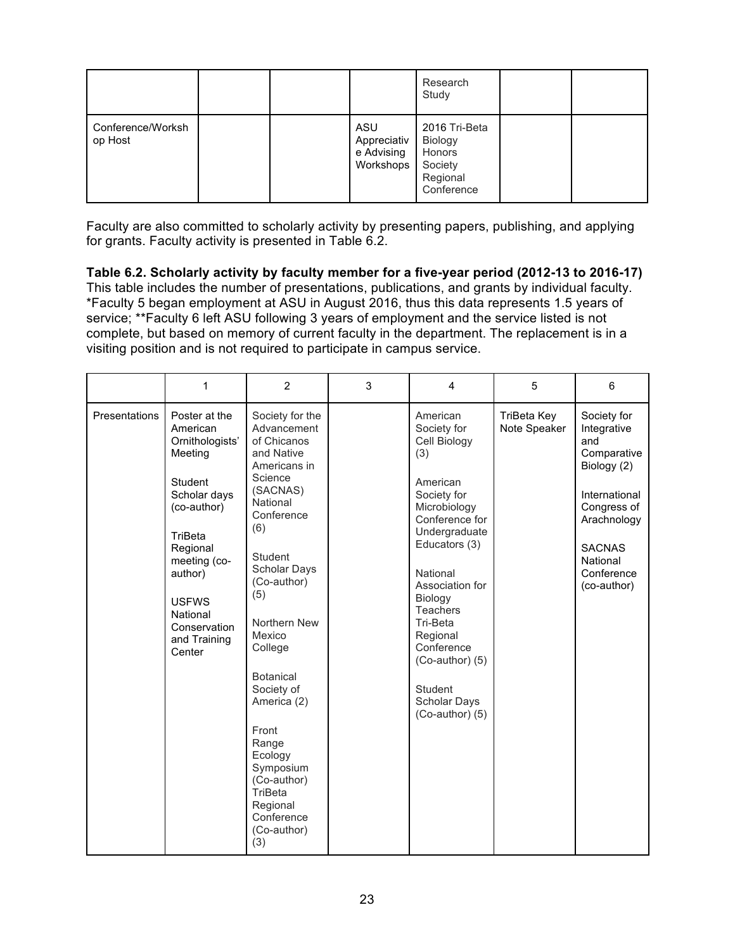|                              |  |                                               | Research<br>Study                                                       |  |
|------------------------------|--|-----------------------------------------------|-------------------------------------------------------------------------|--|
| Conference/Worksh<br>op Host |  | ASU<br>Appreciativ<br>e Advising<br>Workshops | 2016 Tri-Beta<br>Biology<br>Honors<br>Society<br>Regional<br>Conference |  |

Faculty are also committed to scholarly activity by presenting papers, publishing, and applying for grants. Faculty activity is presented in Table 6.2.

**Table 6.2. Scholarly activity by faculty member for a five-year period (2012-13 to 2016-17)**  This table includes the number of presentations, publications, and grants by individual faculty. \*Faculty 5 began employment at ASU in August 2016, thus this data represents 1.5 years of service; \*\*Faculty 6 left ASU following 3 years of employment and the service listed is not complete, but based on memory of current faculty in the department. The replacement is in a visiting position and is not required to participate in campus service.

|               | $\mathbf{1}$                                                                                                                                                                                                              | 2                                                                                                                                                                                                                                                                                                                                                                                              | 3 | $\overline{\mathbf{4}}$                                                                                                                                                                                                                                                                                                | 5                           | 6                                                                                                                                                                        |
|---------------|---------------------------------------------------------------------------------------------------------------------------------------------------------------------------------------------------------------------------|------------------------------------------------------------------------------------------------------------------------------------------------------------------------------------------------------------------------------------------------------------------------------------------------------------------------------------------------------------------------------------------------|---|------------------------------------------------------------------------------------------------------------------------------------------------------------------------------------------------------------------------------------------------------------------------------------------------------------------------|-----------------------------|--------------------------------------------------------------------------------------------------------------------------------------------------------------------------|
| Presentations | Poster at the<br>American<br>Ornithologists'<br>Meeting<br>Student<br>Scholar days<br>(co-author)<br>TriBeta<br>Regional<br>meeting (co-<br>author)<br><b>USFWS</b><br>National<br>Conservation<br>and Training<br>Center | Society for the<br>Advancement<br>of Chicanos<br>and Native<br>Americans in<br>Science<br>(SACNAS)<br>National<br>Conference<br>(6)<br>Student<br>Scholar Days<br>(Co-author)<br>(5)<br>Northern New<br>Mexico<br>College<br><b>Botanical</b><br>Society of<br>America (2)<br>Front<br>Range<br>Ecology<br>Symposium<br>(Co-author)<br>TriBeta<br>Regional<br>Conference<br>(Co-author)<br>(3) |   | American<br>Society for<br>Cell Biology<br>(3)<br>American<br>Society for<br>Microbiology<br>Conference for<br>Undergraduate<br>Educators (3)<br>National<br>Association for<br>Biology<br>Teachers<br>Tri-Beta<br>Regional<br>Conference<br>$(Co$ -author $)(5)$<br><b>Student</b><br>Scholar Days<br>(Co-author) (5) | TriBeta Key<br>Note Speaker | Society for<br>Integrative<br>and<br>Comparative<br>Biology (2)<br>International<br>Congress of<br>Arachnology<br><b>SACNAS</b><br>National<br>Conference<br>(co-author) |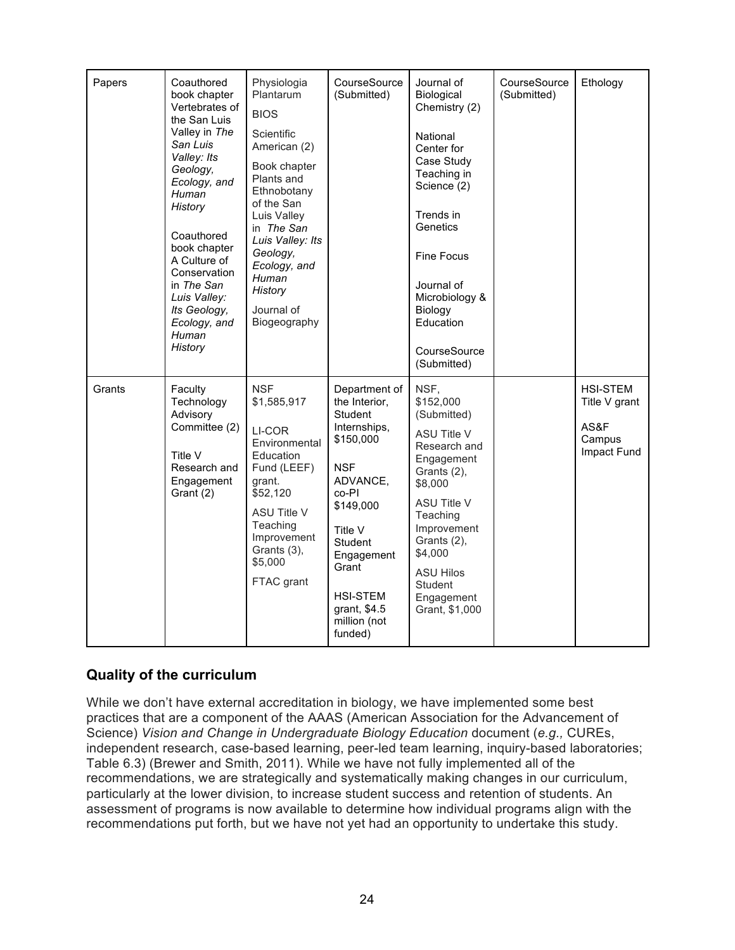| Papers                           | Coauthored<br>book chapter<br>Vertebrates of<br>the San Luis<br>Valley in The<br>San Luis<br>Valley: Its<br>Geology,<br>Ecology, and<br>Human<br>History<br>Coauthored<br>book chapter<br>A Culture of<br>Conservation<br>in The San<br>Luis Valley:<br>Its Geology, | Physiologia<br>Plantarum<br><b>BIOS</b><br>Scientific<br>American (2)<br>Book chapter<br>Plants and<br>Ethnobotany<br>of the San<br>Luis Valley<br>in The San<br>Luis Valley: Its<br>Geology,<br>Ecology, and<br>Human<br>History<br>Journal of | CourseSource<br>(Submitted)                                                                                                                                                                                                       | Journal of<br>Biological<br>Chemistry (2)<br>National<br>Center for<br>Case Study<br>Teaching in<br>Science (2)<br>Trends in<br>Genetics<br><b>Fine Focus</b><br>Journal of<br>Microbiology &<br>Biology                                                        | CourseSource<br>(Submitted) | Ethology                                                          |
|----------------------------------|----------------------------------------------------------------------------------------------------------------------------------------------------------------------------------------------------------------------------------------------------------------------|-------------------------------------------------------------------------------------------------------------------------------------------------------------------------------------------------------------------------------------------------|-----------------------------------------------------------------------------------------------------------------------------------------------------------------------------------------------------------------------------------|-----------------------------------------------------------------------------------------------------------------------------------------------------------------------------------------------------------------------------------------------------------------|-----------------------------|-------------------------------------------------------------------|
| Ecology, and<br>Human<br>History |                                                                                                                                                                                                                                                                      | Biogeography                                                                                                                                                                                                                                    |                                                                                                                                                                                                                                   | Education<br>CourseSource<br>(Submitted)                                                                                                                                                                                                                        |                             |                                                                   |
| Grants                           | Faculty<br>Technology<br>Advisory<br>Committee (2)<br>Title V<br>Research and<br>Engagement<br>Grant (2)                                                                                                                                                             | <b>NSF</b><br>\$1,585,917<br>LI-COR<br>Environmental<br>Education<br>Fund (LEEF)<br>grant.<br>\$52,120<br><b>ASU Title V</b><br>Teaching<br>Improvement<br>Grants (3),<br>\$5,000<br>FTAC grant                                                 | Department of<br>the Interior,<br>Student<br>Internships,<br>\$150,000<br><b>NSF</b><br>ADVANCE,<br>co-PI<br>\$149,000<br>Title V<br>Student<br>Engagement<br>Grant<br><b>HSI-STEM</b><br>grant, \$4.5<br>million (not<br>funded) | NSF,<br>\$152,000<br>(Submitted)<br><b>ASU Title V</b><br>Research and<br>Engagement<br>Grants (2),<br>\$8,000<br><b>ASU Title V</b><br>Teaching<br>Improvement<br>Grants (2),<br>\$4,000<br><b>ASU Hilos</b><br><b>Student</b><br>Engagement<br>Grant, \$1,000 |                             | <b>HSI-STEM</b><br>Title V grant<br>AS&F<br>Campus<br>Impact Fund |

## **Quality of the curriculum**

While we don't have external accreditation in biology, we have implemented some best practices that are a component of the AAAS (American Association for the Advancement of Science) *Vision and Change in Undergraduate Biology Education* document (*e.g.,* CUREs, independent research, case-based learning, peer-led team learning, inquiry-based laboratories; Table 6.3) (Brewer and Smith, 2011). While we have not fully implemented all of the recommendations, we are strategically and systematically making changes in our curriculum, particularly at the lower division, to increase student success and retention of students. An assessment of programs is now available to determine how individual programs align with the recommendations put forth, but we have not yet had an opportunity to undertake this study.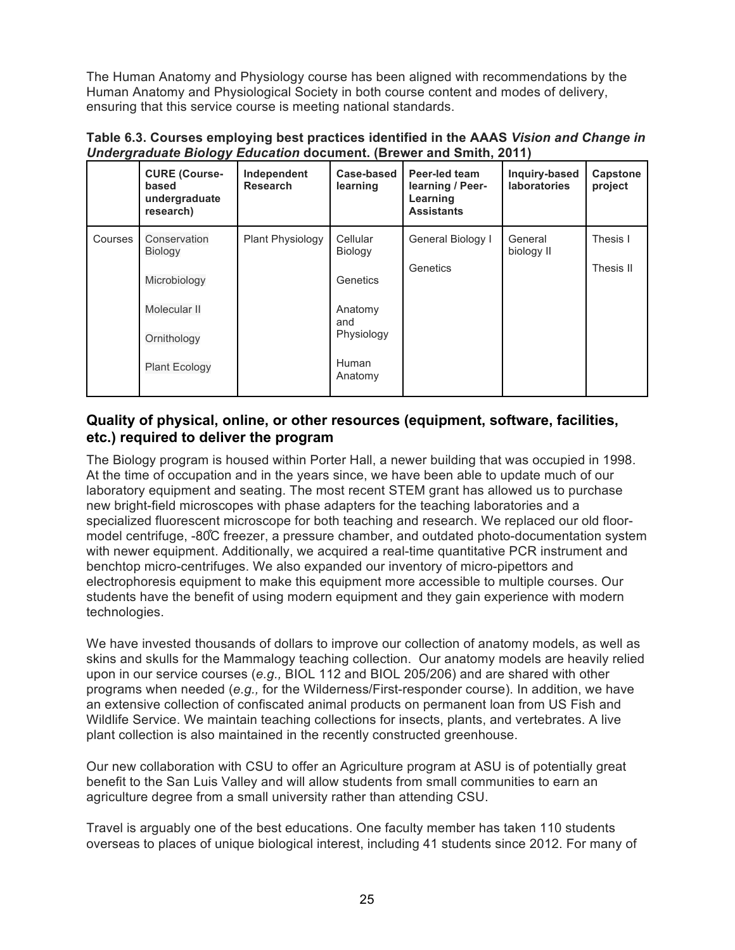The Human Anatomy and Physiology course has been aligned with recommendations by the Human Anatomy and Physiological Society in both course content and modes of delivery, ensuring that this service course is meeting national standards.

**Table 6.3. Courses employing best practices identified in the AAAS** *Vision and Change in Undergraduate Biology Education* **document. (Brewer and Smith, 2011)**

|             | <b>CURE (Course-</b><br>based<br>undergraduate<br>research) | Independent<br><b>Research</b> | Case-based<br>learning | Peer-led team<br>learning / Peer-<br>Learning<br><b>Assistants</b> | Inquiry-based<br><b>laboratories</b> | Capstone<br>project |
|-------------|-------------------------------------------------------------|--------------------------------|------------------------|--------------------------------------------------------------------|--------------------------------------|---------------------|
| Courses     | Conservation<br>Biology                                     | <b>Plant Physiology</b>        | Cellular<br>Biology    | General Biology I                                                  | General<br>biology II                | Thesis I            |
|             | Microbiology                                                |                                | Genetics               | Genetics                                                           |                                      | Thesis II           |
|             | Molecular II                                                |                                | Anatomy<br>and         |                                                                    |                                      |                     |
| Ornithology |                                                             |                                | Physiology             |                                                                    |                                      |                     |
|             | <b>Plant Ecology</b>                                        |                                | Human<br>Anatomy       |                                                                    |                                      |                     |

### **Quality of physical, online, or other resources (equipment, software, facilities, etc.) required to deliver the program**

The Biology program is housed within Porter Hall, a newer building that was occupied in 1998. At the time of occupation and in the years since, we have been able to update much of our laboratory equipment and seating. The most recent STEM grant has allowed us to purchase new bright-field microscopes with phase adapters for the teaching laboratories and a specialized fluorescent microscope for both teaching and research. We replaced our old floormodel centrifuge, -80 $\degree$ C freezer, a pressure chamber, and outdated photo-documentation system with newer equipment. Additionally, we acquired a real-time quantitative PCR instrument and benchtop micro-centrifuges. We also expanded our inventory of micro-pipettors and electrophoresis equipment to make this equipment more accessible to multiple courses. Our students have the benefit of using modern equipment and they gain experience with modern technologies.

We have invested thousands of dollars to improve our collection of anatomy models, as well as skins and skulls for the Mammalogy teaching collection. Our anatomy models are heavily relied upon in our service courses (*e.g.,* BIOL 112 and BIOL 205/206) and are shared with other programs when needed (*e.g.,* for the Wilderness/First-responder course). In addition, we have an extensive collection of confiscated animal products on permanent loan from US Fish and Wildlife Service. We maintain teaching collections for insects, plants, and vertebrates. A live plant collection is also maintained in the recently constructed greenhouse.

Our new collaboration with CSU to offer an Agriculture program at ASU is of potentially great benefit to the San Luis Valley and will allow students from small communities to earn an agriculture degree from a small university rather than attending CSU.

Travel is arguably one of the best educations. One faculty member has taken 110 students overseas to places of unique biological interest, including 41 students since 2012. For many of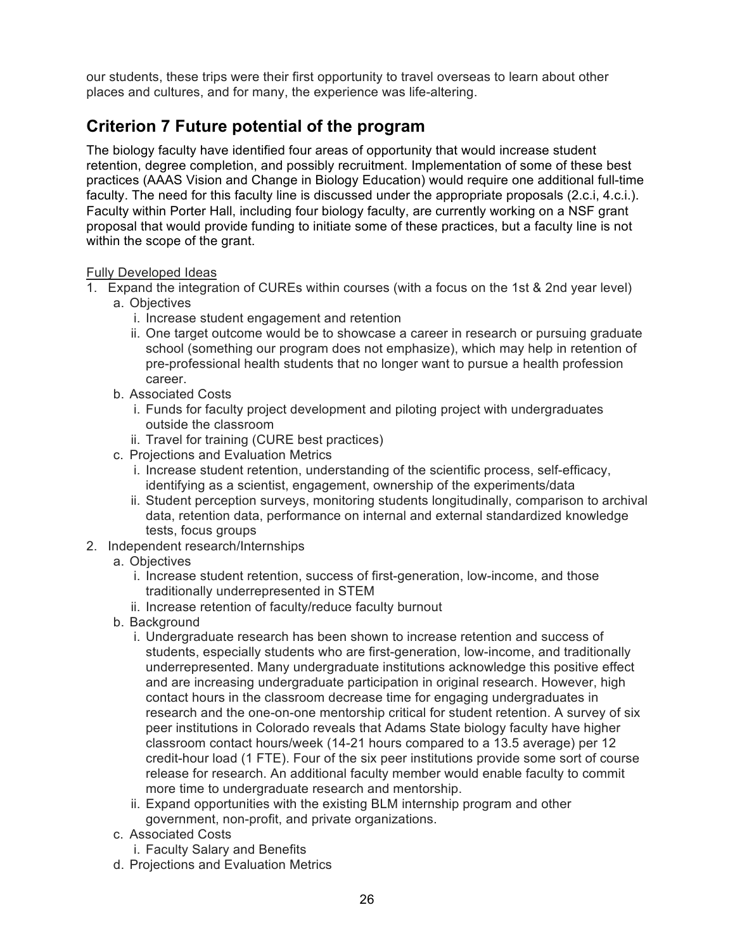our students, these trips were their first opportunity to travel overseas to learn about other places and cultures, and for many, the experience was life-altering.

# **Criterion 7 Future potential of the program**

The biology faculty have identified four areas of opportunity that would increase student retention, degree completion, and possibly recruitment. Implementation of some of these best practices (AAAS Vision and Change in Biology Education) would require one additional full-time faculty. The need for this faculty line is discussed under the appropriate proposals (2.c.i, 4.c.i.). Faculty within Porter Hall, including four biology faculty, are currently working on a NSF grant proposal that would provide funding to initiate some of these practices, but a faculty line is not within the scope of the grant.

#### Fully Developed Ideas

- 1. Expand the integration of CUREs within courses (with a focus on the 1st & 2nd year level)
	- a. Objectives
		- i. Increase student engagement and retention
		- ii. One target outcome would be to showcase a career in research or pursuing graduate school (something our program does not emphasize), which may help in retention of pre-professional health students that no longer want to pursue a health profession career.
	- b. Associated Costs
		- i. Funds for faculty project development and piloting project with undergraduates outside the classroom
		- ii. Travel for training (CURE best practices)
	- c. Projections and Evaluation Metrics
		- i. Increase student retention, understanding of the scientific process, self-efficacy, identifying as a scientist, engagement, ownership of the experiments/data
		- ii. Student perception surveys, monitoring students longitudinally, comparison to archival data, retention data, performance on internal and external standardized knowledge tests, focus groups
- 2. Independent research/Internships
	- a. Objectives
		- i. Increase student retention, success of first-generation, low-income, and those traditionally underrepresented in STEM
		- ii. Increase retention of faculty/reduce faculty burnout
	- b. Background
		- i. Undergraduate research has been shown to increase retention and success of students, especially students who are first-generation, low-income, and traditionally underrepresented. Many undergraduate institutions acknowledge this positive effect and are increasing undergraduate participation in original research. However, high contact hours in the classroom decrease time for engaging undergraduates in research and the one-on-one mentorship critical for student retention. A survey of six peer institutions in Colorado reveals that Adams State biology faculty have higher classroom contact hours/week (14-21 hours compared to a 13.5 average) per 12 credit-hour load (1 FTE). Four of the six peer institutions provide some sort of course release for research. An additional faculty member would enable faculty to commit more time to undergraduate research and mentorship.
		- ii. Expand opportunities with the existing BLM internship program and other government, non-profit, and private organizations.
	- c. Associated Costs
		- i. Faculty Salary and Benefits
	- d. Projections and Evaluation Metrics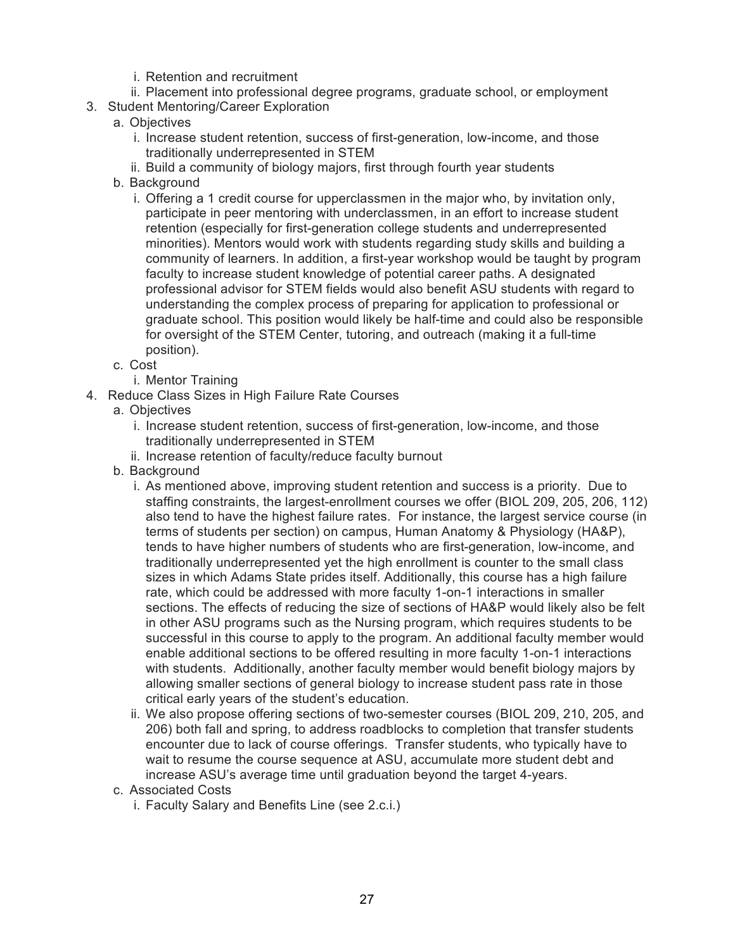- i. Retention and recruitment
- ii. Placement into professional degree programs, graduate school, or employment
- 3. Student Mentoring/Career Exploration
	- a. Objectives
		- i. Increase student retention, success of first-generation, low-income, and those traditionally underrepresented in STEM
		- ii. Build a community of biology majors, first through fourth year students
	- b. Background
		- i. Offering a 1 credit course for upperclassmen in the major who, by invitation only, participate in peer mentoring with underclassmen, in an effort to increase student retention (especially for first-generation college students and underrepresented minorities). Mentors would work with students regarding study skills and building a community of learners. In addition, a first-year workshop would be taught by program faculty to increase student knowledge of potential career paths. A designated professional advisor for STEM fields would also benefit ASU students with regard to understanding the complex process of preparing for application to professional or graduate school. This position would likely be half-time and could also be responsible for oversight of the STEM Center, tutoring, and outreach (making it a full-time position).
	- c. Cost
		- i. Mentor Training
- 4. Reduce Class Sizes in High Failure Rate Courses
	- a. Objectives
		- i. Increase student retention, success of first-generation, low-income, and those traditionally underrepresented in STEM
		- ii. Increase retention of faculty/reduce faculty burnout
	- b. Background
		- i. As mentioned above, improving student retention and success is a priority. Due to staffing constraints, the largest-enrollment courses we offer (BIOL 209, 205, 206, 112) also tend to have the highest failure rates. For instance, the largest service course (in terms of students per section) on campus, Human Anatomy & Physiology (HA&P), tends to have higher numbers of students who are first-generation, low-income, and traditionally underrepresented yet the high enrollment is counter to the small class sizes in which Adams State prides itself. Additionally, this course has a high failure rate, which could be addressed with more faculty 1-on-1 interactions in smaller sections. The effects of reducing the size of sections of HA&P would likely also be felt in other ASU programs such as the Nursing program, which requires students to be successful in this course to apply to the program. An additional faculty member would enable additional sections to be offered resulting in more faculty 1-on-1 interactions with students. Additionally, another faculty member would benefit biology majors by allowing smaller sections of general biology to increase student pass rate in those critical early years of the student's education.
		- ii. We also propose offering sections of two-semester courses (BIOL 209, 210, 205, and 206) both fall and spring, to address roadblocks to completion that transfer students encounter due to lack of course offerings. Transfer students, who typically have to wait to resume the course sequence at ASU, accumulate more student debt and increase ASU's average time until graduation beyond the target 4-years.
	- c. Associated Costs
		- i. Faculty Salary and Benefits Line (see 2.c.i.)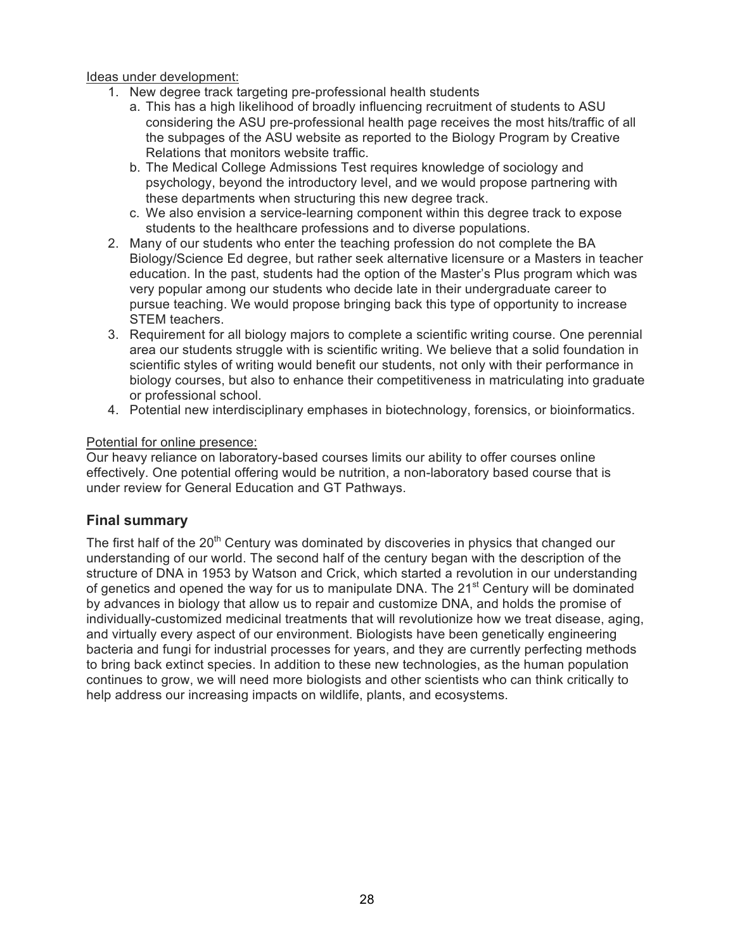Ideas under development:

- 1. New degree track targeting pre-professional health students
	- a. This has a high likelihood of broadly influencing recruitment of students to ASU considering the ASU pre-professional health page receives the most hits/traffic of all the subpages of the ASU website as reported to the Biology Program by Creative Relations that monitors website traffic.
	- b. The Medical College Admissions Test requires knowledge of sociology and psychology, beyond the introductory level, and we would propose partnering with these departments when structuring this new degree track.
	- c. We also envision a service-learning component within this degree track to expose students to the healthcare professions and to diverse populations.
- 2. Many of our students who enter the teaching profession do not complete the BA Biology/Science Ed degree, but rather seek alternative licensure or a Masters in teacher education. In the past, students had the option of the Master's Plus program which was very popular among our students who decide late in their undergraduate career to pursue teaching. We would propose bringing back this type of opportunity to increase STEM teachers.
- 3. Requirement for all biology majors to complete a scientific writing course. One perennial area our students struggle with is scientific writing. We believe that a solid foundation in scientific styles of writing would benefit our students, not only with their performance in biology courses, but also to enhance their competitiveness in matriculating into graduate or professional school.
- 4. Potential new interdisciplinary emphases in biotechnology, forensics, or bioinformatics.

#### Potential for online presence:

Our heavy reliance on laboratory-based courses limits our ability to offer courses online effectively. One potential offering would be nutrition, a non-laboratory based course that is under review for General Education and GT Pathways.

### **Final summary**

The first half of the 20<sup>th</sup> Century was dominated by discoveries in physics that changed our understanding of our world. The second half of the century began with the description of the structure of DNA in 1953 by Watson and Crick, which started a revolution in our understanding of genetics and opened the way for us to manipulate DNA. The 21<sup>st</sup> Century will be dominated by advances in biology that allow us to repair and customize DNA, and holds the promise of individually-customized medicinal treatments that will revolutionize how we treat disease, aging, and virtually every aspect of our environment. Biologists have been genetically engineering bacteria and fungi for industrial processes for years, and they are currently perfecting methods to bring back extinct species. In addition to these new technologies, as the human population continues to grow, we will need more biologists and other scientists who can think critically to help address our increasing impacts on wildlife, plants, and ecosystems.